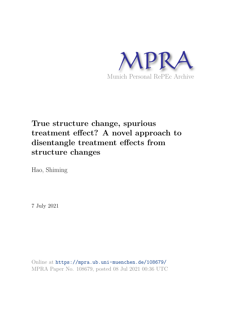

# **True structure change, spurious treatment effect? A novel approach to disentangle treatment effects from structure changes**

Hao, Shiming

7 July 2021

Online at https://mpra.ub.uni-muenchen.de/108679/ MPRA Paper No. 108679, posted 08 Jul 2021 00:36 UTC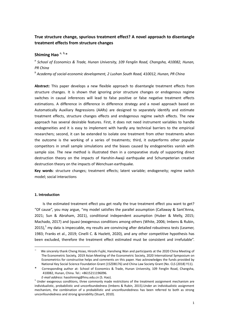# **True structure change, spurious treatment effect? A novel approach to disentangle treatment effects from structure changes**

# Shiming Hao<sup>a, b,\*</sup>

*a School of Economics & Trade, Hunan University, 109 Fenglin Road, Changsha, 410082, Hunan, PR China* 

*b Academy of social-economic development, 2 Lushan South Road, 410012, Hunan, PR China* 

**Abstract:** This paper develops a new flexible approach to disentangle treatment effects from structure changes. It is shown that ignoring prior structure changes or endogenous regime switches in causal inferences will lead to false positive or false negative treatment effects estimations. A difference in difference in difference strategy and a novel approach based on Automatically Auxiliary Regressions (AARs) are designed to separately identify and estimate treatment effects, structure changes effects and endogenous regime switch effects. The new approach has several desirable features. First, it does not need instrument variables to handle endogeneities and it is easy to implement with hardly any technical barriers to the empirical researchers; second, it can be extended to isolate one treatment from other treatments when the outcome is the working of a series of treatments; third, it outperforms other popular competitors in small sample simulations and the biases caused by endogeneities vanish with sample size. The new method is illustrated then in a comparative study of supporting direct destruction theory on the impacts of Hanshin-Awaji earthquake and Schumpeterian creative destruction theory on the impacts of Wenchuan earthquake.

**Key words**: structure changes; treatment effects; latent variable; endogeneity; regime switch model; social interactions

# **1. Introduction**

<u>.</u>

Is the estimated treatment effect you get really the true treatment effect you want to get? "Of cause", you may argue, "my model satisfies the parallel assumption (Callaway & Sant'Anna, 2021; Sun & Abraham, 2021), conditional independent assumption (Huber & Melly, 2015; Machado, 2017) and (quasi-)exogenous conditions among others (White, 2006; Imbens & Rubin, 2015), $^{1}$  my data is impeccable, my results are convincing after detailed robustness tests (Leamer, 1983; Franks et al., 2019; Cinelli C. & Hazlett, 2020), and any other competitive hypothesis has been excluded, therefore the treatment effect estimated must be consistent and irrefutable".

We sincerely thank Cheng Hsiao, Hiroshi Fujiki, Hansheng Wan and participants at the 2020 China Meeting of The Econometric Society, 2019 Asian Meeting of the Econometric Society, 2020 International Symposium on Econometrics for constructive helps and comments on this paper. Hao acknowledges the funds provided by National Key Social Science Foundation Grant (15ZDB176) and China Law Society Grant (No. CLS (2018) Y11).

Corresponding author at: School of Economics & Trade, Hunan University, 109 Fenglin Road, Changsha, 410082, Hunan, China. Tel.: +8615211196096.

*E-mail address*: haoshiming@hnu.edu.cn (S. Hao).

 $1$  Under exogenous conditions, three commonly made restrictions of the treatment assignment mechanism are individualistic, probabilistic and unconfoundedness (Imbens & Rubin, 2015).Under an individualistic assignment mechanism, the combination of a probabilistic and unconfoundedness has been referred to both as strong unconfoundedness and strong ignorability (Stuart, 2010).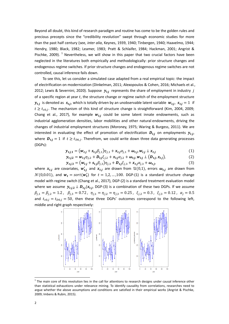Beyond all doubt, this kind of research paradigm and routine has come to be the golden rules and precious precepts since the "credibility revolution" swept through economic studies for more than the past half century (see, *inter alia*, Keynes, 1939, 1940; Tinbergen, 1940; Haavelmo, 1944; Hendry, 1980; Black, 1982; Leamer, 1983; Pratt & Schlaifer, 1984; Hackman, 2001; Angrist & Pischke, 2009).  $^1$  Nevertheless, we will show in this paper that two crucial factors have been neglected in the literatures both empirically and methodologically: prior structure changes and endogenous regime switches. If prior structure changes and endogenous regime switches are not controlled, causal inference fails down.

To see this, let us consider a simulated case adapted from a real empirical topic: the impact of electrification on modernization (Dinkelman, 2011; Alexopoulos & Cohen, 2016; Michaels et al., 2012; Lewis & Severnini, 2020). Suppose  $y_{t,i}$  represents the share of employment in industry j of a specific region at year  $t$ , the structure change or regime switch of the employment structure  $y_{t,i}$  is denoted as  $s_{t,i}$ , which is totally driven by an unobservable latent variable  $w_{t,i}$ ,  $s_{t,i} = 1$  if  $t \ge t_{s0,i}$ . The mechanism of this kind of structure change is straightforward (Kim, 2004, 2009; Chang et al., 2017), for example  $w_{t,i}$  could be some latent innate endowments, such as industrial agglomeration densities, labor mobilities and other natural endowments, driving the changes of industrial employment structures (Moroney, 1975; Waring & Burgess, 2011). We are interested in evaluating the effect of promotion of electrification  $D_{t,i}$  on employments  $y_{t,i}$ , where  $\mathbf{D}_{t,i} = 1$  if  $t \ge t_{D0,i}$ . Therefrom, we could write down three data generating processes (DGPs):

$$
\mathbf{y}_{t,j,1} = (w_{t,j} + s_{t,j}\beta_{j,1})\eta_{j,1} + x_{t,j}\alpha_{j,1} + \omega_{t,j}, w_{t,j} \perp x_{t,j} \tag{1}
$$

$$
y_{t,j,2} = w_{t,j} \eta_{j,2} + D_{t,j} \xi_{j,2} + x_{t,j} \alpha_{j,2} + \omega_{t,j}, w_{t,j} \perp (D_{t,j}, x_{t,j}),
$$
 (2)

$$
y_{t,j,3} = (w_{t,j} + s_{t,j}\beta_{j,3})\eta_{j,3} + D_{t,j}\xi_{j,3} + x_{t,j}\alpha_{j,3} + \omega_{t,j},
$$
(3)

where  $x_{t,j}$  are covariates,  $w_{t,j}'$  and  $x_{t,j}$  are drawn from  $\mathcal{U}(0,1)$ , errors  $\bm{\omega}_{t,j}$  are drawn from  $\mathcal{N}(0,0.01)$ , and  $\mathbf{w}_t = sort(\mathbf{w}'_t)$  for  $t = 1,2,...,100$ . DGP-(1) is a standard structure change model with regime switch (Chang et al., 2017), DGP-(2) is a standard treatment evaluation model where we assume  $y_{t,i,2} \perp D_{t,i} |x_{t,i}$ , DGP-(3) is a combination of these two DGPs. If we assume  $\beta_{j,1} = \beta_{j,2} = 1.2$ ,  $\beta_{j,3} = 0.72$ ,  $\eta_{j,1} = \eta_{j,2} = \eta_{j,3} = 0.25$ ,  $\xi_{j,2} = 0.3$ ,  $\xi_{j,3} = 0.12$ ,  $\alpha_j = 0.5$ and  $t_{s0,j} = t_{D0,j} = 50$ , then these three DGPs' outcomes correspond to the following left, middle and right graph respectively:



 $1$  The main core of this revolution lies in the call for attentions to research designs under causal inference other than statistical exhaustions under relevance mining. To identify causality from correlations, researches need to argue whether the above assumptions and conditions are satisfied in their empirical works (Angrist & Pischke, 2009; Imbens & Rubin, 2015).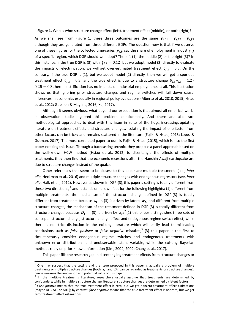**Figure 1.** Who is who: structure change effect (left), treatment effect (middle), or both (right)?

As we shall see from Figure 1, these three outcomes are the same  $y_{t,j,1} = y_{t,j,2} = y_{t,j,3}$ although they are generated from three different GDPs. The question now is that if we observe one of these figures for the collected time-series  $y_{t,i}$ , say the share of employment in industry j of a specific region, which DGP should we adopt? The left (1), the middle (2) or the right (3)? In this instance, if the true DGP is (3) with  $\xi_{i,3} = 0.12$  but we adopt model (2) directly to evaluate the impacts of electrification, we will get over-estimated treatment effect  $\xi_{i,2} = 0.3$ . On the contrary, if the true DGP is (1), but we adopt model (2) directly, then we will get a spurious treatment effect  $\xi_{j,2} = 0.3$ , and the true effect is due to a structure change  $\beta_{j,1}\eta_{j,1} = 1.2 \cdot$  $0.25 = 0.3$ , here electrification has no impacts on industrial employments at all. This illustration shows us that ignoring prior structure changes and regime switches will fail down causal inferences in economics especially in regional policy evaluations (Alberto et al., 2010, 2015; Hsiao et al., 2012; Gobillon & Magnac, 2016; Xu, 2017).

Although it seems obvious, what beyond our expectation is that almost all empirical works in observation studies ignored this problem coincidentally. And there are also rare methodological approaches to deal with this issue in spite of the huge, increasing, updating literature on treatment effects and structure changes. Isolating the impact of one factor from other factors can be tricky and remains scattered in the literature (Fujiki & Hsiao, 2015; Lopez & Gutman, 2017). The most correlated paper to ours is Fujiki & Hsiao (2015), which is also the first paper noticing this issue. Through a backcasting technic, they propose a panel approach based on the well-known HCW method (Hsiao et al., 2012) to disentangle the effects of multiple treatments, they then find that the economic recessions after the Hanshin-Awaji earthquake are due to structure changes instead of the quake.

Other references that seem to be closest to this paper are multiple treatments (see, *inter alia*, Heckman et al., 2016) and multiple structure changes with endogenous regressors (see, *inter alia*, Hall, et al., 2012). However as shown in DGP-(3),this paper's setting is totally different from these two directions,  $1$  and it stands on its own feet for the following highlights: (1) different from multiple treatments, the mechanism of the structure change defined in DGP-(3) is totally different from treatments because  $s_t$  in (3) is driven by latent  $w_t$ ; and different from multiple structure changes, the mechanism of the treatment defined in DGP-(3) is totally different from structure changes because  $\bm{D_t}$  in (3) is driven by  $x_{ti}^2$  (2) this paper distinguishes three sets of concepts: structure change, structure change effect and endogenous regime switch effect, while there is no strict distinction in the existing literature which will easily lead to misleading conclusions such as *false positive* or *false negative* mistakes;<sup>3</sup> (3) this paper is the first to simultaneously consider endogenous regime switches and endogenous treatments with unknown error distributions and unobservable latent variable, while the existing Bayesian methods reply on prior-known information (Kim, 2004, 2009; Chang et al., 2017).

This paper fills the research gap in disentangling treatment effects from structure changes or

The may suspect that the setting and the issue proposed in this paper is actually a problem of multiple treatments or multiple structure changes (both  $s_t$  and  $D_t$  can be regarded as treatments or structure changes), hence weakens the innovation and potential value of this paper.

 $2$  In the multiple treatments literature, researchers usually assume that treatments are determined by confounders; while in multiple structure change literature, structure changes are determined by latent factors.

<sup>&</sup>lt;sup>3</sup> False positive means that the true treatment effect is zero, but we get nonzero treatment effect estimations (maybe ATE, ATT or MTE); by contrast, *false negative* means that the true treatment effect is nonzero, but we get zero treatment effect estimations.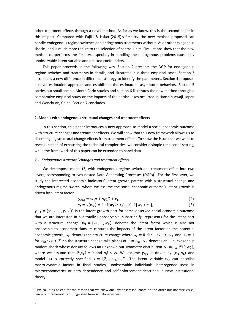other treatment effects through a novel method. As far as we know, this is the second paper in this respect. Compared with Fujiki & Hsiao (2015)'s first try, the new method proposed can handle endogenous regime switches and endogenous treatments without IVs or other exogenous shocks, and is much more robust to the selection of control units. Simulations show that the new method outperforms the first try, especially in handling the endogenous problems caused by unobservable latent variable and omitted confounders.

This paper proceeds in the following way. Section 2 presents the DGP for endogenous regime switches and treatments in details, and illustrates it in three empirical cases. Section 3 introduces a new difference in difference strategy to identify the parameters. Section 4 proposes a novel estimation approach and establishes the estimators' asymptotic behaviors. Section 5 carries out small sample Monte Carlo studies and section 6 illustrates the new method through a comparative empirical study on the impacts of the earthquakes occurred in Hanshin-Awaji, Japan and Wenchuan, China. Section 7 concludes.

#### **2. Models with endogenous structural changes and treatment effects**

In this section, this paper introduces a new approach to model a social-economic outcome with structure changes and treatment effects. We will show that this new framework allows us to disentangling structural change effects from treatment effects. To show the issue that we want to reveal, instead of exhausting the technical complexities, we consider a simple time series setting, while the framework of this paper can be extended to panel data.

#### *2.1. Endogenous structural changes and treatment effects*

We decompose model (3) with endogenous regime switch and treatment effect into two layers, corresponding to two nested Data Generating Processes (DGPs) $^1$ . For the first layer, we study the interested economic indicators' latent growth pattern with a structural change and endogenous regime switch, where we assume the social-economic outcome's latent growth is driven by a latent factor

$$
y_{lp,t} = w_t \eta + s_t \eta \beta + v_t, \tag{4}
$$

$$
\mathbf{s}_t = \mathbf{s}(\mathbf{w}_t) = 1 \cdot \mathbb{I}\{\mathbf{w}_t \ge \tau_s\} + 0 \cdot \mathbb{I}\{\mathbf{w}_t < \tau_s\},\tag{5}
$$

 $y_{\text{in},t} = (y_{\text{in},1},..., y_{\text{in},T})'$  is the latent growth part for some observed social-economic outcome that we are interested in but totally unobservable, subscript  $lp$  represents for the latent part with a structural change,  $w_t = (w_1, ..., w_T)'$  denotes the latent factor which is also not observable to econometricians,  $\eta$  captures the impacts of the latent factor on the potential economic growth,  $s_t$  denotes the structure change where  $s_t = 0$  for  $1 \le t < t_{s0}$  and  $s_t = 1$ for  $t_{s0} \leq t < T$ , so the structure change take places at  $t = t_{s0}$ .  $v_t$  denotes an i.i.d. exogenous random shock whose density follows an unknown but symmetry distribution  $\mathbf{v}_t =_{i.i.d.} \mathfrak{F}(0, \sigma_v^2)$ , where we assume that  $\mathbb{E}(\nu_t) = 0$  and  $\sigma_v^2 < \infty$ . We assume  $y_{lp,t}$  is driven by  $(w_t, s_t)$  and model (4) is correctly specified,  $t = 1, 2, ..., t_{s0}, ..., T$ . The latent variable  $w_t$  can describe macro-dynamic factors in fiscal studies, unobservable individuals' heterogeneousness in microeconometrics or path dependence and self-enforcement described in New Institutional theory.

 $1$  We call it as nested for the reason that we allow one layer exert influences on the other but not vice versa, hence our framework is distinguished from simultaneousness.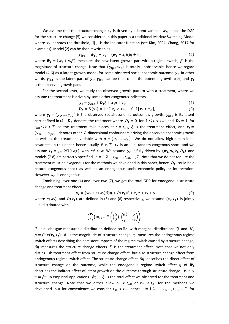We assume that the structure change  $s_t$  is driven by a latent variable  $w_t$ , hence the DGP for the structure change (5) we considered in this paper is a traditional Markov Switching Model where  $\tau_s$  denotes the threshold,  $\mathbb{I}\{\cdot\}$  is the indicator function (see Kim, 2004; Chang, 2017 for examples). Model (2) can be then rewritten as

$$
y_{lp,t} = \widetilde{w}_t \eta + v_t = (w_t + s_t \beta)\eta + v_t, \tag{6}
$$

where  $\tilde{w}_t = (w_t + s_t \beta)$  measures the new latent growth part with a regime switch,  $\beta$  is the magnitude of structure change. Note that  $(y_{lp,t}, w_t)$  is totally unobservable, hence we regard model (4-6) as a latent growth model for some observed social-economic outcome  $y_t$ , in other words  $y_{lp,t}$  is the latent part of  $y_t$ .  $y_{lp,t}$  can be then called the potential growth part, and  $y_t$ is the observed growth part.

For the second layer, we study the observed growth pattern with a treatment, where we assume the treatment is driven by some other exogenous indicators

$$
y_t = y_{tp,t} + D_t \xi + x_t \alpha + \epsilon_t, \tag{7}
$$

$$
\mathbf{D}_t = D(x_t) = 1 \cdot \mathbb{I}\{x_t \ge \tau_D\} + 0 \cdot \mathbb{I}\{x_t < \tau_D\},\tag{8}
$$

where  $\mathbf{y}_t = (y_1, ..., y_T)'$  is the observed social-economic outcome's growth,  $\mathbf{y}_{lp,t}$  is its latent part defined in (4),  $\bm{D_t}$  denotes the treatment where  $\bm{D_t} = 0$  for  $1 \le t \le t_{D0}$  and  $\bm{D_t} = 1$  for  $t_{D0} \leq t < T$ , so the treatment take places at  $t = t_{D0}$ ,  $\xi$  is the treatment effect, and  $x_t =$  $(x_{1t}, ..., x_{nt})'$  denotes other P-dimensional confounders driving the observed economic growth as well as the treatment variable with  $\alpha = (\alpha_1, ..., \alpha_d)'$ . We do not allow high-dimensional covariates in this paper, hence usually  $P \ll T$ .  $\epsilon_t$  is an i.i.d. random exogenous shock and we assume  $\epsilon_t =_{i.i.d.} N(0, \sigma_\epsilon^2)$  with  $\sigma_\epsilon^2 < \infty$ . We assume  $y_t$  is fully driven by  $(w_t, s_t, x_t, D_t)$  and models (7-8) are correctly specified,  $t = 1, 2, ..., t_{50}, ..., t_{D0}, ..., T$ . Note that we do not require the treatment must be exogenous for the methods we developed in this paper, hence  $D_t$  could be a natural exogenous shock as well as an endogenous social-economic policy or intervention. However  $s_t$  is endogenous.

Combining layer one (4) and layer two (7), we get the total GDP for endogenous structure change and treatment effect

$$
\mathbf{y}_t = (w_t + s(w_t)\beta)\eta + D(x_t)\xi + x_t\alpha + \epsilon_t + \mathbf{v}_t,\tag{9}
$$

where  $s(w_t)$  and  $D(x_t)$  are defined in (5) and (8) respectively, we assume  $(v_t, \epsilon_t)$  is jointly i.i.d. distributed with

$$
\begin{pmatrix} \mathbf{v}_t \\ \epsilon_t \end{pmatrix} =_{i.i.d.} \mathfrak{G} \left( \begin{pmatrix} 0 \\ 0 \end{pmatrix}, \begin{pmatrix} \sigma_v^2 & \rho \\ \rho & \sigma_\epsilon^2 \end{pmatrix} \right),
$$

 $\mathfrak G$  is a Lebesgue measurable distribution defined on  $\mathbb R^2$  with marginal distributions  $\mathfrak F$  and  $\mathcal N$ ,  $\rho = Cov(\mathbf{v}_t, \boldsymbol{\epsilon}_t)$ .  $\beta$  is the magnitude of structure change,  $\eta$  measures the endogenous regime switch effects describing the persistent impacts of the regime switch caused by structure change,  $\beta\eta$  measures the structure change effects,  $\xi$  is the treatment effect. Note that we not only distinguish treatment effect from structure change effect, but also structure change effect from endogenous regime switch effect. The structure change effect  $\beta\eta$  describes the direct effect of structure change on the outcome, while the endogenous regime switch effect  $\eta$  of  $\widetilde{w}_t$ describes the indirect effect of latent growth on the outcome through structure change. Usually  $\eta \neq \beta \eta$  in empirical applications.  $\beta \eta + \xi$  is the total effect we observed for the treatment and structure change. Note that we either allow  $t_{s0} < t_{D0}$  or  $t_{D0} < t_{s0}$  for the methods we developed, but for convenience we consider  $t_{s0} < t_{D0}$  hence  $t = 1, 2, ..., t_{s0}, ..., t_{D0}, ..., T$  for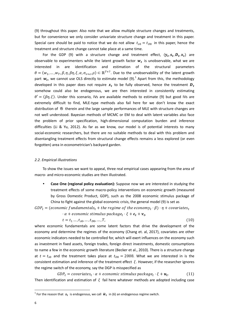(9) throughout this paper. Also note that we allow multiple structure changes and treatments, but for convenience we only consider univariate structure change and treatment in this paper. Special care should be paid to notice that we do not allow  $t_{s0} = t_{D0}$  in this paper, hence the treatment and structure change cannot take place at a same time.

For the GDP (9) with a structure change and treatment effect,  $(y_t, s_t, D_t, x_t)$  are observable to experimenters while the latent growth factor  $w_t$  is unobservable, what we are interested in are identification and estimation of the structural parameters  $\theta = (w_1, ..., w_T, \beta, \eta, \beta\eta, \xi, \alpha, \sigma_{v+\epsilon}, \rho) \subset \mathbb{R}^{T+7}$ . Due to the unobservability of the latent growth part  $w_t$ , we cannot use OLS directly to estimate model (9).<sup>1</sup> Apart from this, the methodology developed in this paper does not require  $x_t$  to be fully observed, hence the treatment  $\boldsymbol{D}_t$ somehow could also be endogenous, we are then interested in consistently estimating  $\theta' = (\beta \eta, \xi)$ . Under this scenario, IVs are available methods to estimate (9) but good IVs are extremely difficult to find, MLE-type methods also fail here for we don't know the exact distribution of  $6$  therein and the large sample performances of MLE with structure changes are not well understood. Bayesian methods of MCMC or EM to deal with latent variables also face the problem of prior specification, high-dimensional computation burden and inference difficulties (Li & Yu, 2012). As far as we know, our model is of potential interests to many social-economic researchers, but there are no suitable methods to deal with this problem and disentangling treatment effects from structural change effects remains a less explored (or even forgotten) area in econometrician's backyard garden.

#### *2.2. Empirical illustrations*

To show the issues we want to appeal, three real empirical cases appearing from the area of macro- and micro-economic studies are then illustrated.

 **Case One (regional policy evaluation):** Suppose now we are interested in studying the treatment effects of some macro-policy interventions on economic growth (measured by Gross Domestic Product, GDP), such as the 2008 economic stimulus package of China to fight against the global economic crisis, the general model (9) is set as

 $GDP_t = (economic\; fundamentals_t + the\;regime\;of\;the\;economy_t\cdot\beta)\cdot\eta + covariates_t$ 

$$
\cdot \alpha + e_{\text{conomic stimulus package}_t} \cdot \xi + \epsilon_t + \nu_t,
$$

 $t = t_1 ... , t_{s0}, ..., t_{D0}, ..., T,$  (10) where economic fundamentals are some latent factors that drive the development of the

economy and determine the regimes of the economy (Chang et. al, 2017), covariates are other economic indicators needed to be controlled for, which will exert influences on the economy such as investment in fixed assets, foreign trades, foreign direct investments, domestic consumptions to name a few in the economic growth literature (Becker et al., 2010). There is a structure change at  $t = t_{s0}$  and the treatment takes place at  $t_{D0} = 2008$ . What we are interested in is the consistent estimation and inference of the treatment effect  $\xi$ . However, if the researcher ignores the regime switch of the economy, say the DGP is misspecified as

 $GDP_t = covariates_t \cdot \alpha + economic$  stimulus packag $e_t \cdot \xi + \boldsymbol{u}_t$  $(11)$ Then identification and estimation of  $\xi$  fail here whatever methods are adopted including case

<sup>&</sup>lt;sup>1</sup> For the reason that  $s_t$  is endogenous, we call  $\tilde{w}_t$  in (6) an endogenous regime switch.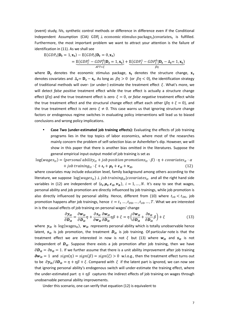(event) study, IVs, synthetic control methods or difference in difference even if the Conditional Independent Assumption (CIA)  $GDP_t \perp$  economic stimulus package<sub>t</sub> covariates<sub>t</sub> is fulfilled. Furthermore, the most important problem we want to attract your attention is the failure of identification in (11). As we shall see

$$
\mathbb{E}(GDP_t|\mathbf{D}_t=1,\mathbf{x}_t) - \mathbb{E}(GDP_t|\mathbf{D}_t=0,\mathbf{x}_t) \n= \underbrace{\mathbb{E}(GDP_t^1 - GDP_t^0|\mathbf{D}_t=1,\mathbf{x}_t)}_{ATT=\xi} + \underbrace{\mathbb{E}(GDP_t^1 - GDP_t^0|\mathbf{D}_t-\Delta_t=1,\mathbf{x}_t)}_{\beta\eta}
$$

where  $\mathbf{D}_t$  denotes the economic stimulus package,  $\mathbf{s}_t$  denotes the structure change,  $\mathbf{x}_t$ denotes covariates and  $\Delta_t = \mathbf{D}_t - \mathbf{s}_t$ . As long as  $\beta\eta > 0$  (or  $\beta\eta < 0$ ), the identification strategy of traditional methods will over- (or under-) estimate the treatment effect  $\xi$ . What's more, we will detect *false positive* treatment effect while the true effect is actually a structure change effect  $(\beta \eta)$  and the true treatment effect is zero  $\xi = 0$ , or *false negative* treatment effect while the true treatment effect and the structural change effect offset each other ( $\beta \eta + \xi = 0$ ), and the true treatment effect is not zero  $\xi \neq 0$ . This case warns us that ignoring structure change factors or endogenous regime switches in evaluating policy interventions will lead us to biased conclusions and wrong policy implications.

 **Case Two (under-estimated job training effects):** Evaluating the effects of job training programs lies in the top topics of labor economics, where most of the researches mainly concern the problem of self-selection bias or Ashenfelter's dip. However, we will show in this paper that there is another bias omitted in the literatures. Suppose the general empirical input-output model of job training is set as

 $log(wages_{it}) = (personal \, ability_{it} + job \, position \, promotion_{it} \cdot \beta) \cdot \eta + covariates_{it} \cdot \alpha$ + job training<sub>it</sub>  $\cdot \xi + \iota_i + \mu_t + \epsilon_{it} + \nu_{it}$  (12)

where covariates may include education level, family background among others according to the literature, we suppose  $log(wages_{it}) \perp job training_{it} | covariates_{it}$  and all the right hand side variables in (12) are independent of  $(\iota_i, \mu_t, \epsilon_{it}, \nu_{it})$ ,  $i = 1, ..., N$ . It's easy to see that wages, personal ability and job promotion are directly influenced by job trainings, while job promotion is also directly influenced by personal ability. Hence, different from (10) where  $t_{s0} < t_{D0}$ , job promotion happens after job trainings, hence  $t = t_1 ... , t_{D0} ... , t_{S0} ...$ , T. What we are interested in is the causal effects of job training on personal wages' change

$$
\frac{\partial y_{it}}{\partial \bm{D}_{it}} = \frac{\partial w_{it}}{\partial \bm{D}_{it}} \eta + \frac{\partial s_{it}}{\partial w_{it}} \frac{\partial w_{it}}{\partial \bm{D}_{it}} \eta \beta + \xi = \eta \left( \frac{\partial w_{it}}{\partial \bm{D}_{it}} + \frac{\partial s_{it}}{\partial \bm{D}_{it}} \beta \right) + \xi \tag{13}
$$

where  $y_{it}$  is log(wages<sub>it</sub>),  $w_{it}$  represents personal ability which is totally unobservable hence latent,  $s_{it}$  is job promotion, the treatment  $D_{it}$  is job training. Of particular note is that the treatment effect we are interested in now is not  $\xi$  but (13) where  $w_{it}$  and  $s_{it}$  is not independent of  $D_{it}$ . Suppose there exists a job promotion after job training, then we have  $\partial D_{it} = \partial S_{it} = 1$ . If we further assume that there is a unit ability improvement after job training  $\partial w_{it} = 1$  and  $sign(\eta) = sign(\beta) = sign(\xi) > 0$  w.l.o.g., then the treatment effect turns out to be  $\partial y_{it}/\partial D_{it} = \eta + \eta \beta + \xi$ . Compared with  $\xi$  if the latent part is ignored, we can now see that ignoring personal ability's endogenous switch will under-estimate the training effect, where the under-estimated part  $\eta + \eta \beta$  captures the indirect effects of job training on wages through unobservable personal ability improvements.

Under this scenario, one can verify that equation (12) is equivalent to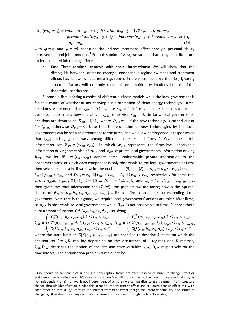$log(wages_{it}) = covariates_{it} \cdot \alpha + job trainings_{it} \cdot \xi + 1/2 \cdot job trainings_{it}$ 

 $\cdot$  personal ability<sub>it</sub>  $\cdot \phi + 1/2 \cdot j$  ob trainings<sub>it</sub>  $\cdot j$  ob promotion<sub>it</sub>  $\cdot \phi + \iota_i$ 

$$
+\mu_t + u_{it} \tag{14}
$$

with  $\phi = \eta$  and  $\varphi = \eta \beta$  capturing the indirect treatment effect through personal ability improvement and job promotion. $<sup>1</sup>$  From this point of view, we suspect that many labor literature</sup> under-estimated job training effects.

 **Case Three (optimal controls with social interactions):** We will show that the distinguish between structure changes, endogenous regime switches and treatment effects has its own unique meanings rooted in the microeconomic theories, ignoring structural factors will not only cause biased empirical estimations but also false theoretical conclusions.

Suppose a firm is facing a choice of different business models while the local government is facing a choice of whether or not carrying out a promotion of clean energy technology. Firms' decision sets are denoted as  $s_{cit} \in \{0,1\}$  where  $s_{cit} = 1$  if firm *i* in state *c* choses to turn its business model into a new one at  $t = t_{s_0c_i}$ , otherwise  $s_{cit} = 0$ ; similarly, local governments' decisions are denoted as  $D_{cit} \in \{0,1\}$  where  $D_{cit} = 1$  if the new technology is carried out at  $t = t_{D_0cii}$ , otherwise  $\boldsymbol{D}_{cit} = 0$ . Note that the promotion of new technologies by the local governments can be seen as a treatment to the firms, and we allow heterogeneous responses so that  $t_{s, ci}$  and  $t_{D, ci}$  can vary among different states c and firms *i*. Given the public information set  $\mathfrak{B}_{sD} = (\mathbf{w}_{cit}, \mathbf{x}_{cit})$ , in which  $\mathbf{w}_{cit}$  represents the firms-level observable information driving the choice of  $s_{cit}$ , and  $x_{cit}$  captures local governments' information driving **, we let**  $\mathfrak{W}_{sD} = (\epsilon_{cit}, v_{cit})$  **denote some unobservable private information to the** econometricians, of which each component is only observable to the local governments or firms themselves respectively. If we rewrite the decision set (5) and (8) as  $s_{cit} = a_{ci} \cdot \mathbb{I}\{w_{cit} \geq \tau_{si}\}$  +  $b_{ci} \cdot \mathbb{I}{\{w_{cit} < \tau_{si}\}}$  and  $D_{cit} = c_{ci} \cdot \mathbb{I}{\{x_{cit} \geq \tau_{Di}\}} + d_{ci} \cdot \mathbb{I}{\{x_{cit} < \tau_{Di}\}}$  respectively for some real values  $a_{ci}, b_{ci}, c_{ci}, d_{ci} \in \{0,1\}, i = 1,2,..., N_c, c = 1,2,..., C$ , and  $t_{ci} = 1, ..., t_{s_0ci}, ..., t_{D_0ci}, ..., T$ , then given the total information set  $(\mathfrak{B}, \mathfrak{W})$ , the problem we are facing now is the optimal choice of  $\Theta_{ci} = \{a_{ci}, b_{ci}, c_{ci}, d_{ci}, t_{s_0ci}, t_{D_0ci}\}\subset \mathbb{R}^6$  for firm i and the corresponding local goverment. Note that in this game, we require local governments' actions are taken after firms, so  $\, {\bf s}_{cit} \,$  is observable to local governments while  $\, {\bm D}_{cit} \,$  is not observable to firms. Suppose there exist a smooth function  $G_l^{SD}(a_{ci}, b_{ci}, c_{ci}, d_{ci})$  satisfying

 $\dot{\mathbf{s}}_{cit} = \begin{cases} G_s^{00}(a_{ci}, b_{ci}, c_{ci}, d_{ci}), 1 \leq t_{ci} < \mathbf{t}_{s_0ci} \\ G_s^{10}(a_{ci}, b_{ci}, c_{ci}, d_{ci}), \mathbf{t}_{s_0ci} \leq t_{ci} < \mathbf{t}_{D_0} \end{cases}$  $G_S^{10}(a_{ci}, b_{ci}, c_{ci}, d_{ci})$ ,  $t_{s_0ci} \le t_{ci} < t_{D_0ci}$  $G_s^{11}(a_{ci}, b_{ci}, c_{ci}, d_{ci})$ ,  $t_{D_0ci} \le t_{ci} < T$ ,  $\dot{\mathbf{D}}_{cit} = \begin{cases} G_D^{00}(a_{ci}, b_{ci}, c_{ci}, d_{ci}), 1 \leq t_{ci} < t_{s_0ci}, \ G_D^{10}(a_{ci}, b_{ci}, c_{ci}, d_{ci}), t_{s_0ci} \leq t_{ci} < t_{D_0} \end{cases}$  $G_D^{10}(a_{ci}, b_{ci}, c_{ci}, d_{ci})$ ,  $t_{s_0ci} \le t_{ci} < t_{D_0ci}$  $G_D^{11}(a_{ci}, b_{ci}, c_{ci}, d_{ci})$ ,  $t_{D_0ci} \le t_{ci} < T$ ,

where the state function  $G_l^{SD}(a_{ci}, b_{ci}, c_{ci}, d_{ci})$  are specified to describe 4 states on which the decision set  $l = s, D$  can lay depending on the occurrence of s-regimes and D-regimes,  $\dot{\mathbf{s}}_{cit}$ ,  $\dot{\mathbf{D}}_{cit}$  describes the motion of the decision state variables  $\mathbf{s}_{cit}$ ,  $\mathbf{D}_{cit}$  respectively on the time interval. The optimization problem turns out to be

<sup>&</sup>lt;sup>1</sup> One should be cautious that  $\eta$  and  $\eta\beta$  now capture treatment effect instead of structure change effect or endogenous switch effect as in (10) shown in case one. We will show in the next section of this paper that if  $s_t$  is not independent of  $D_t$  or  $w_t$  is not independent of  $x_t$ , then we cannot disentangle treatment from structure change through identification. Under this scenario, the treatment effect and structure change effect mix with each other, so that  $\eta$ ,  $\eta\beta$  capture the indirect treatment effect though the latent variable  $w_t$  and structure change  $s_t$  (the structure change is indirectly caused by treatment through the latent variable).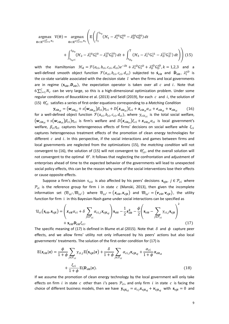$$
\underset{\Theta \subset \mathbb{R}^6 \Sigma_{c=1}^C N_c}{\text{argmax}} \quad V(\Theta) = \underset{\Theta \subset \mathbb{R}^6 \Sigma_{c=1}^C N_c}{\text{argmax}} \left( \mathbb{E} \left( \int_1^{t_{S_0}} (\mathcal{H}_1 - \lambda_S^{00} G_S^{00} - \lambda_D^{00} G_D^{00}) dt + \int_{t_{S_0 c i}}^{t_{D_0}} (\mathcal{H}_2 - \lambda_S^{10} G_S^{10} - \lambda_D^{10} G_D^{10}) dt + \int_{t_{D_0}}^T (\mathcal{H}_3 - \lambda_S^{11} G_S^{11} - \lambda_D^{11} G_D^{11}) dt \right) \right)
$$
(15)

with the Hamiltonian  $H_{\hat{k}} = \mathcal{F}(a_{ci}, b_{ci}, c_{ci}, d_{ci})e^{-\delta t} + \lambda_s^{SD} G_S^{SD} + \lambda_D^{SD} G_D^{SD}, k = 1,2,3$  and a well-defined smooth object function  $\mathcal{F}(a_{ci},b_{ci},c_{ci},d_{ci})$  subjected to  $\dot{\mathbf{s}}_{cit}$  and  $\dot{\mathbf{D}}_{cit}$ ,  $\lambda_l^{SD}$  is the co-state variable associated with the decision state  $l$  when the firms and local governments are in regime  $(s_{cit}, D_{cit})$ , the expectation operator is taken over all  $c$  and  $i$ . Note that  $6\sum_{c=1}^{C} N_c$  can be very large, so this is a high-dimensional optimization problem. Under some regular conditions of Boucekkine et al. (2013) and Seidl (2019), for each  $c$  and  $i$ , the solution of (15)  $\Theta_{ci}^{*}$  satisfies a series of first-order equations corresponding to a *Matching Condition* 

 $\mathbf{y}_{\text{cit}_{\text{ci}}} = (\mathbf{w}_{\text{cit}_{\text{ci}}} + s(\mathbf{w}_{\text{cit}_{\text{ci}}})\beta_{\text{ci}})\eta_{\text{ci}} + D(\mathbf{x}_{\text{cit}_{\text{ci}}})\xi_{\text{ci}} + \mathbf{x}_{\text{cit}_{\text{ci}}}\alpha_{\text{ci}} + \epsilon_{\text{cit}_{\text{ci}}} + \mathbf{v}_{\text{cit}_{\text{ci}}}}$ (16) for a well-defined object function  $\mathcal{F}(a_{ci}, b_{ci}, c_{ci}, d_{ci})$ , where  $y_{cit_{ci}}$  is the total social welfare,  $(w_{cit_{ci}} + s(w_{cit_{ci}})\beta_{ci})\eta_{ci}$  is firm's welfare and  $D(x_{cit_{ci}})\xi_{ci} + x_{cit_{ci}}\alpha_{ci}$  is local government's welfare,  $\beta_{ci}\eta_{ci}$  captures heterogeneous effects of firms' decisions on social welfare while  $\xi_{ci}$ captures heterogeneous treatment effects of the promotion of clean energy technologies for different  $c$  and  $i$ . In this perspective, if the social interactions and games between firms and local governments are neglected from the optimizations (15), the *matching condition* will not convergent to (16), the solution of (15) will not convergent to  $\Theta_{ci}^*$ , and the overall solution will not convergent to the optimal  $\Theta^*$ . It follows that neglecting the confrontation and adjustment of enterprises ahead of time to the expected behavior of the governments will lead to unexpected social policy effects, this can be the reason why some of the social interventions lose their effects or cause opposite effects.

Suppose a firm's decision  $s_{cit}$  is also affected by his peers' decisions  $s_{cit}$ ,  $j \in \mathcal{P}_{ci}$  where  $P_{ci}$  is the reference group for firm i in state c (Manski, 2013), then given the incomplete information set  $(\mathfrak{B}_{ss'}, \mathfrak{B}_{ss'})$  where  $\mathfrak{B}_{ss'} = (x_{cit}, x_{cit})$  and  $\mathfrak{B}_{ss'} = (\nu_{cit}, \nu_{cit})$ , the utility function for firm i in this Bayesian-Nash game under social interactions can be specified as

$$
\mathcal{U}_{ci}(\mathbf{s}_{cit}, \mathbf{s}_{cjt}) = \left(x_{cit}\alpha_{ci} + \delta \sum_{j \in \mathcal{P}_{ci}} \alpha_{ci,j} x_{cjt_{cj}}\right) \mathbf{s}_{cit} - \frac{1}{2}\mathbf{s}_{cit}^2 - \frac{\phi}{2}\left(\mathbf{s}_{cit} - \sum_{j \in \mathcal{P}_{ci}} \gamma_{ci,j} \mathbf{s}_{cjt}\right)^2 + \mathbf{s}_{cit} D_{cit} \xi_{ci}.
$$
\n(17)

The specific meaning of (17) is defined in Blume et.al (2015). Note that  $\delta$  and  $\phi$  capture peer effects, and we allow firms' utility not only influenced by his peers' actions but also local governments' treatments. The solution of the first-order condition for (17) is

$$
\mathbb{E}(\boldsymbol{s}_{cit}|\boldsymbol{x}) = \frac{\phi}{1+\phi} \sum_{j \in \mathcal{P}_{ci}} \gamma_{ci,j} \mathbb{E}(\boldsymbol{s}_{cjt}|\boldsymbol{x}) + \frac{\delta}{1+\phi} \sum_{j \in \mathcal{P}_{ci}} \alpha_{ci,j} \boldsymbol{x}_{cjt_{cj}} + \frac{\alpha_{ci}}{1+\phi} \boldsymbol{x}_{cit_{ci}} + \frac{\xi_{ci}}{1+\phi} \mathbb{E}(\boldsymbol{D}_{cit}|\boldsymbol{x}).
$$
\n(18)

If we assume the promotion of clean energy technology by the local government will only take effects on firm *i* in state c other than *i*'s peers  $P_{ci}$ , and only firm *i* in state c is facing the choice of different business models, then we have  $y_{cjt_{ci}} = \alpha_{cj} x_{cjt_{cj}} + v_{cjt_{cj}}$  with  $s_{cjt} = 0$  and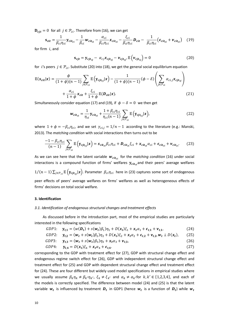**for all**  $j \in \mathcal{P}_{ci}$ **. Therefore from (16), we can get** 

$$
\mathbf{s}_{cit} = \frac{1}{\beta_{ci}\eta_{ci}} \mathbf{y}_{cit_{ci}} - \frac{1}{\beta_{ci}} \mathbf{w}_{cit_{ci}} - \frac{\alpha_{ci}}{\beta_{ci}\eta_{ci}} \mathbf{x}_{cit_{ci}} - \frac{\xi_{ci}}{\beta_{ci}\eta_{ci}} \mathbf{D}_{cit} - \frac{1}{\beta_{ci}\eta_{ci}} (\epsilon_{cit_{ci}} + \mathbf{v}_{cit_{ci}}) \quad (19)
$$

for firm  $i$ , and

$$
\mathbf{s}_{cjt} = \mathbf{y}_{cjt_{cj}} - \alpha_{cj} x_{cjt_{cj}} - \mathbf{v}_{cjt_{cj}}, \mathbb{E}\left(\mathbf{v}_{cjt_{cj}}\right) = 0 \tag{20}
$$

for *i's* peers  $j \in \mathcal{P}_{ci}$ . Substitute (20) into (18), we get the general social equilibrium equation

$$
\mathbb{E}(\boldsymbol{s}_{cit}|\boldsymbol{x}) = \frac{\phi}{(1+\phi)(n-1)} \sum_{j\in\mathcal{P}_{ci}} \mathbb{E}\left(\mathbf{y}_{cjt_{cj}}|\boldsymbol{x}\right) - \frac{1}{(1+\phi)(n-1)}(\phi-\delta) \left(\sum_{j\in\mathcal{P}_{ci}} \alpha_{ci,j}\mathbf{x}_{cjt_{cj}}\right) + \frac{\alpha_{ci}}{1+\phi}\mathbf{x}_{cit} + \frac{\xi_{ci}}{1+\phi}\mathbb{E}(\boldsymbol{D}_{cit}|\boldsymbol{x}).
$$
\n(21)

Simultaneously consider equation (17) and (19), if  $\phi - \delta = 0$  we then get

$$
\boldsymbol{w}_{\boldsymbol{cit}_{ci}} = \frac{1}{\eta_{ci}} \mathbf{y}_{\boldsymbol{cit}_{ci}} + \frac{1 + \beta_{ci} \eta_{ci}}{\eta_{ci} (n-1)} \sum_{j \in \mathcal{P}_{ci}} \mathbb{E} \left( \mathbf{y}_{\boldsymbol{cj}} | \mathbf{x} \right), \tag{22}
$$

where  $1 + \phi = -\beta_{ci}\eta_{ci}$ , and we set  $\gamma_{ci,i} = 1/n - 1$  according to the literature (e.g.: Manski, 2013). The *matching condition* with social interactions then turns out to be

$$
\frac{-1-\beta_{ci}\eta_{ci}}{(n-1)}\sum_{j\in\mathcal{P}_{ci}}\mathbb{E}\left(\mathbf{y}_{\text{cjt}_{cj}}|\mathbf{x}\right) = \mathbf{s}_{\text{cit}_{ci}}\beta_{ci}\eta_{ci} + \mathbf{D}_{\text{cit}_{ci}}\xi_{ci} + \mathbf{x}_{\text{cit}_{ci}}\alpha_{ci} + \boldsymbol{\epsilon}_{\text{cit}_{ci}} + \mathbf{v}_{\text{cit}_{ci}}.
$$
(23)

As we can see here that the latent variable  $w_{cit_{ci}}$  for the *matching condition* (16) under social interactions is a compound function of firms' welfares  $y_{cit_{ci}}$  and their peers' average welfares

$$
1/(n-1)\sum_{j\in\mathcal{P}_{ci}}\mathbb{E}\left(\mathbf{y}_{\text{cjt}_{cj}}|\mathbf{x}\right)
$$
. Parameter  $\beta_{ci}\eta_{ci}$  here in (23) captures some sort of endogenous

peer effects of peers' average welfares on firms' welfares as well as heterogeneous effects of firms' decisions on total social welfare.

#### **3. Identification**

# *3.1. Identification of endogenous structural changes and treatment effects*

As discussed before in the introduction part, most of the empirical studies are particularly interested in the following specifications

*GDP1*: 
$$
y_{t,1} = (w(D_t) + s(w_t)\beta_1)\eta_1 + D(x_t)\xi_1 + x_t\alpha_1 + \epsilon_{t,1} + \nu_{t,1}
$$
, (24)

*GDP2:* 
$$
y_{t,2} = (w_t + s(w_t)\beta_2)\eta_2 + D(x_t)\xi_2 + x_t\alpha_2 + \epsilon_{t,2} + \nu_{t,2}, w_t \perp D(x_t),
$$
 (25)

*GDP3:* 
$$
y_{t,3} = (w_t + s(w_t)\beta_3)\eta_3 + x_t\alpha_3 + v_{t,3}
$$
, (26)

$$
GDP4: \t y_{t,4} = D(x_t)\xi_4 + x_t\alpha_4 + \epsilon_{t,4}.
$$
\t(27)

corresponding to the GDP with treatment effect for (27), GDP with structural change effect and endogenous regime switch effect for (26), GDP with independent structural change effect and treatment effect for (25) and GDP with dependent structural change effect and treatment effect for (24). These are four different but widely used model specifications in empirical studies where we usually assume  $\beta_k \eta_k \neq \beta_{k'} \eta_{k'}$ ,  $\xi_k \neq \xi_{k'}$  and  $\alpha_k \neq \alpha_{k'}$  for  $k, k' \in \{1, 2, 3, 4\}$ , and each of the models is correctly specified. The difference between model (24) and (25) is that the latent variable  $w_t$  is influenced by treatment  $D_t$  in GDP1 (hence  $w_t$  is a function of  $D_t$ ) while  $w_t$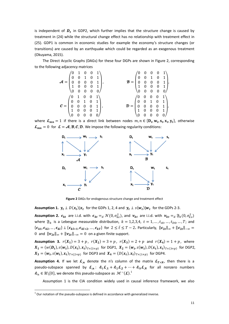is independent of  $\boldsymbol{D_t}$  in GDP2, which further implies that the structure change is caused by treatment in (24) while the structural change effect has no relationship with treatment effect in (25). GDP1 is common in economic studies for example the economy's structure changes (or transitions) are caused by an earthquake which could be regarded as an exogenous treatment (Okuyama, 2015).

The Direct Acyclic Graphs (DAGs) for these four DGPs are shown in Figure 2, corresponding to the following adjacency matrices



where  $\mathcal{L}_{mn} = 1$  if there is a direct link between nodes  $m, n \in \{D_t, w_t, s_t, x_t, y_t\}$ , otherwise  $\mathcal{L}_{mn} = 0$  for  $\mathcal{L} = \mathcal{A}, \mathcal{B}, \mathcal{C}, \mathcal{D}$ . We impose the following regularity conditions:



**Figure 2** DAGs for endogenous structure change and treatment effect

**Assumption 1.**  $y_t \perp D(x_t)|x_t$  for the GDPs 1, 2, 4 and  $y_t \perp s(w_t)|w_t$  for the GDPs 2-3.

**Assumption 2.**  $\epsilon_{kt}$  are i.i.d. with  $\epsilon_{kt} =_d N(0, \sigma_{ke}^2)$ , and  $v_{kt}$  are i.i.d. with  $v_{kt} =_d \mathfrak{F}_k(0, \sigma_{kv}^2)$ where  $\mathfrak{F}_k$  is a Lebesgue measurable distribution,  $k = 1,2,3,4$ ,  $t = 1, ..., t_{s0}, ..., t_{D0}, ..., T$ ; and  $\{\epsilon_{k1}, \epsilon_{k2}, ..., \epsilon_{k\bar{t}}\} \perp \{\epsilon_{k\bar{t}+1}, \epsilon_{k\bar{t}+2}, ..., \epsilon_{k\bar{T}}\}$  for  $2 \leq \bar{t} \leq T-2$ . Particularly,  $\|\epsilon_{2t}\|_{\infty} + \|\epsilon_{2t}\|_{-\infty} =$ 0 and  $||v_{2t}||_{\infty} + ||v_{2t}||_{-\infty} = 0$  on a given finite support.

**Assumption 3.**  $r(X_1) = 3 + p$ ,  $r(X_2) = 3 + p$ ,  $r(X_3) = 2 + p$  and  $r(X_4) = 1 + p$ , where  $X_1 = (w(D_t), s(w_t), D(x_t), x_t)_{T \times (3+p)}$  for DGP1,  $X_2 = (w_t, s(w_t), D(x_t), x_t)_{T \times (3+p)}$  for DGP2,  $X_3 = (w_t, s(w_t), x_t)_{T \times (2+p)}$  for DGP3 and  $X_4 = (D(x_t), x_t)_{T \times (1+p)}$  for DGP4.

**Assumption 4.** If we let  $\mathcal{L}_n$  denote the n's column of the matrix  $\mathcal{L}_{T\times N}$ , then there is a pseudo-subspace spanned by  $\mathcal{L}_n$ :  $k_1\mathcal{L}_{1} + k_2\mathcal{L}_{2} + \cdots + k_N\mathcal{L}_{N}$  for all nonzero numbers  $\mathscr{k}_n \in \mathbb{R}\backslash \{0\}$ , we denote this pseudo-subspace as  $\left. \mathcal{M}^-(\mathcal{L}) \right.^1$ 

Assumption 1 is the CIA condition widely used in causal inference framework, we also

 $1$  Our notation of the pseudo-subspace is defined in accordance with generalized inverse.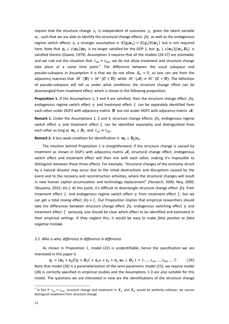require that the structure change  $s_t$  is independent of outcomes  $y_t$  given the latent variable  $w_t$  such that we are able to identify the structural change effects  $\beta\eta$  as well as the endogenous regime switch effects  $\eta$ , a stronger assumption is  $\mathbb{E}(\mathbf{y}_t w_t) = \mathbb{E}(\mathbf{y}_t) \mathbb{E}(w_t)$  but is not required here. Note that  $y_t \perp s(w_t)|w_t$  is no longer satisfied for the GDP 1, but  $y_t \perp s(w_t)|(w_t, D_t)$  is satisfied therein (Dawid, 1979). Assumption 3 requires that all the models (24-27) are estimable, and we rule out the situation that  $t_{s0} = t_{D0}$ , we do not allow treatment and structure change take place at a same time point.<sup>1</sup> The difference between the usual subspace and pseudo-subspace in Assumption 4 is that we do not allow  $\ell_n = 0$ , so one can see from the adjacency matrices that  $\mathcal{M}^-(\mathcal{B}) = \mathcal{M}^-(\mathcal{C} + \mathcal{D})$  while  $\mathcal{M}^-(\mathcal{A}) \neq \mathcal{M}^-(\mathcal{C} + \mathcal{D})$ . The definition of pseudo-subspace will tell us under what conditions the structure change effect can be disentangled from treatment effect, which is shown in the following proposition,

**Proposition 1.** If the Assumptions 1, 3 and 4 are satisfied, then the structure change effect  $\beta\eta$ , endogenous regime switch effect  $n$  and treatment effect  $\xi$  can be separately identified from each other under DGP2 with adjacency matrix  $\mathcal B$  but not under DGP1 with adjacency matrix  $\mathcal A$ .

**Remark 1.** Under the Assumptions 1, 3 and 4, structure change effects  $\beta\eta$ , endogenous regime switch effect  $\eta$  and treatment effect  $\xi$  can be identified separately and distinguished from each other as long as  $w_t \perp D_t$  and  $t_{s0} \neq t_{D0}$ .

**Remark 2.** A less weak condition for identification is  $w_t \perp D_t|x_t$ .

The intuition behind Proposition 1 is straightforward, if the structure change is caused by treatment as shown in DGP1 with adjacency matrix  $A$ , structural change effect, endogenous switch effect and treatment effect will then mix with each other, making it's impossible to distinguish between these three effects. For example, "structural changes of the economy struck by a natural disaster may occur due to the initial destructions and disruptions caused by the event and to the recovery and reconstruction activities, where the structural changes will result in new human capital accumulation and technology replacement" (Horwich, 2000; Noy, 2009; Okuyama, 2015; etc.). At this point, it's difficult to disentangle structure change effect  $\beta\eta$  from treatment effect  $\xi$ , and endogenous regime switch effect  $\eta$  from treatment effect  $\xi$ , but we can get a total mixing effect  $\beta \eta + \xi$ . Our Proposition implies that empirical researchers should take the differences between structure change effect  $\beta\eta$ , endogenous switching effect  $\eta$  and treatment effect  $\xi$  seriously, one should be clear which effect to be identified and estimated in their empirical settings. If they neglect this, it would be easy to make *false positive* or *false negative* mistake.

# *3.2. Who is who, difference in difference in difference*

As shown in Proposition 1, model (22) is unidentifiable, hence the specification we are interested in this paper is

 $y_t = (w_t + s_t \beta)\eta + D_t \xi + x_t \alpha + \epsilon_t + v_t, w_t \perp D_t, t = 1, ..., t_{s0}, ..., t_{D0}, ..., T.$  (28) Note that model (28) is a parameterization of the semi-parametric model (25), we require model (28) is correctly specified in empirical studies and the Assumptions 1-3 are also suitable for this model. The questions we are interested in now are the identifications of the structure change

<sup>&</sup>lt;sup>1</sup> In fact if  $t_{s0} = t_{D0}$ , structure change and treatment in  $X_1$  and  $X_2$  would be perfectly collinear, we cannot distinguish treatment from structure change.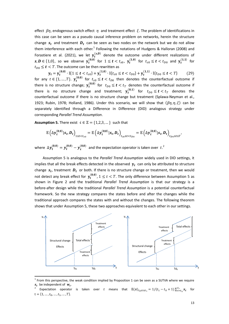effect  $\beta \eta$ , endogenous switch effect  $\eta$  and treatment effect  $\xi$ . The problem of identifications in this case can be seen as a pseudo causal inference problem on networks, herein the structure change  $s_t$  and treatment  $D_t$  can be seen as two nodes on the network but we do not allow them interference with each other.<sup>1</sup> Following the notations of Hudgens & Halloran (2008) and Forastiere et al. (2021), we let  $y_t^{(s,D)}$  denote the outcome under different realizations of  $s, D \in \{1,0\}$ , so we observe  $y_t^{(0,0)}$  for  $1 \le t < t_{s0}$ ,  $y_t^{(1,0)}$  for  $t_{s0} \le t < t_{D0}$  and  $y_t^{(1,1)}$  for  $t_{D0} \leq t < T$ . The outcome can be then rewritten as

 $\mathbf{y}_t = \mathbf{y}_t^{(0,0)} \cdot \mathbb{I}\{1 \le t < t_{s0}\} + \mathbf{y}_t^{(1,0)} \cdot \mathbb{I}\{t_{s0} \le t < t_{D0}\} + \mathbf{y}_t^{(1,1)} \cdot \mathbb{I}\{t_{D0} \le t < T\}$  (29) for any  $t \in \{1,...,T\}$ .  $\mathbf{y}_t^{(0,0)}$  for  $t_{\leq 0} \leq t < t_{D0}$  then denotes the counterfactual outcome if there is no structure change;  $y_t^{(0,0)}$  for  $t_{D0} \le t < t_T$  denotes the counterfactual outcome if there is no structure change and treatment;  $y_t^{(0,1)}$  for  $t_{D0} \le t < t_T$  denotes the counterfactual outcome if there is no structure change but treatment (Splawa-Neyman et al., 1923; Rubin, 1978; Holland, 1986). Under this scenario, we will show that  $(\beta \eta, \eta, \xi)$  can be separately identified through a Difference in Difference (DID) analogous strategy under corresponding *Parallel Trend Assumption*.

**Assumption 5.** There exist  $i \in \mathbb{Z} = \{1,2,3,...\}$  such that

$$
\mathbb{E}\left(\Delta y_t^{(0,0)}|s_t, D_t\right)_{1\leq t
$$

where  $\Delta y_t^{(0,0)} = y_t^{(0,0)} - y_i^{(0,0)}$  and the expectation operator is taken over  $t$ .<sup>2</sup>

Assumption 5 is analogous to the *Parallel Trend Assumption* widely used in DID settings, it implies that all the break effects detected in the observed  $y_t$  can only be attributed to structure change  $s_t$ , treatment  $D_t$  or both. If there is no structure change or treatment, then we would not detect any break effect for  $y_t^{(0,0)}$ ,  $1 \le t < T$ . The only difference between Assumption 5 as shown in Figure 2 and the traditional *Parallel Trend Assumption* is that our strategy is a before-after design while the traditional *Parallel Trend Assumption* is a potential counterfactual framework. So the new strategy compares the states before and after the changes while the traditional approach compares the states with and without the changes. The following theorem shows that under Assumption 5, these two approaches equivalent to each other in our settings.



 $<sup>1</sup>$  From this perspective, the weak condition implied by Proposition 1 can be seen as a SUTVA where we require</sup>  $s_t$  be independent of  $w_t$ .

<sup>2</sup> Expectation operator is taken over t means that  $\mathbb{E}(x)_{t_0 \le t \le t_1} = 1/(t_1 - t_0 + 1) \sum_{t=t_0}^{t_1} x_t$  for  $t = \{1, ..., t_0, ..., t_1, ..., T\}.$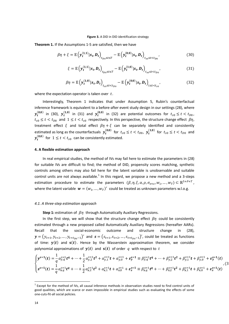#### **Figure 3.** A DID in DID identification strategy

**Theorem 1.** If the Assumptions 1-5 are satisfied, then we have

$$
\beta \eta + \xi = \mathbb{E}\left(\mathbf{y}_t^{(1,1)} | \mathbf{s}_t, \mathbf{D}_t\right)_{t_{D_0} \le t \le T} - \mathbb{E}\left(\mathbf{y}_t^{(0,0)} | \mathbf{s}_t, \mathbf{D}_t\right)_{t_{S_0} \le t < t_{D_0}},\tag{30}
$$

$$
\xi = \mathbb{E}\left(y_t^{(1,1)}|s_t, D_t\right)_{t_{D0} \le t \le T} - \mathbb{E}\left(y_t^{(1,0)}|s_t, D_t\right)_{t_{S0} \le t < t_{D0}},\tag{31}
$$

$$
\beta \eta = \mathbb{E}\left(y_t^{(1,0)} | s_t, D_t\right)_{t_{s0} \le t < t_{D0}} - \mathbb{E}\left(y_t^{(0,0)} | s_t, D_t\right)_{1 \le t < t_{s0}},\tag{32}
$$

where the expectation operator is taken over  $t$ .

Interestingly, Theorem 1 indicates that under Assumption 5, Rubin's counterfactual inference framework is equivalent to a before-after event study design in our settings (28), where  $y_t^{(0,0)}$  in (30),  $y_t^{(1,0)}$  in (31) and  $y_t^{(0,0)}$  in (32) are potential outcomes for  $t_{s0} \le t < t_{D0}$ ,  $t_{s0} \le t < t_{D0}$  and  $1 \le t < t_{s0}$  respectively. In this perspective, the structure change effect  $\beta \eta$ , treatment effect  $\xi$  and total effect  $\beta\eta + \xi$  can be separately identified and consistently estimated as long as the counterfactuals  $y_t^{(0,0)}$  for  $t_{s0} \le t < t_{D0}$ ,  $y_t^{(1,0)}$  for  $t_{s0} \le t < t_{D0}$  and  $y_t^{(0,0)}$  for  $1 \le t < t_{s0}$  can be consistently estimated.

# **4. A flexible estimation approach**

In real empirical studies, the method of IVs may fail here to estimate the parameters in (28) for suitable IVs are difficult to find; the method of DID, propensity scores matching, synthetic controls among others may also fail here for the latent variable is unobservable and suitable control units are not always available. $<sup>1</sup>$  In this regard, we propose a new method and a 3-steps</sup> estimation procedure to estimate the parameters  $(\beta, \eta, \xi, \alpha, \rho, \sigma_{\nu+\epsilon}, w_1, ..., w_T) \subset \mathbb{R}^{5+P+T}$ , where the latent variable  $w = (w_1, ..., w_T)'$  could be treated as unknown parameters w.l.o.g.

#### *4.1. A three-step estimation approach*

**Step 1:** estimation of  $\beta\eta$  through Automatically Auxiliary Regressions.

In the first step, we will show that the structure change effect  $\beta\eta$  could be consistently estimated through a new proposed called Automatically Auxiliary Regressions (hereafter AARs). Recall that the social-economic outcome and structure change in (28),  $y = (y_{t=1}, y_{t=2}, ..., y_{t=t_{D0}-1})'$  and  $\mathbf{s} = (s_{t=1}, s_{t=2}, ..., s_{t=t_{D0}-1})'$ , could be treated as functions of time:  $y(t)$  and  $s(t)$ . Hence by the Wasserstein approximation theorem, we consider polynomial approximations of  $y(t)$  and  $s(t)$  of order q with respect to t

$$
\begin{cases}\ny^{s=1}(t) = \frac{1}{q}a_{y,q}^{s=1}t^q + \dots + \frac{1}{2}a_{y,2}^{s=1}t^2 + a_{y,1}^{s=1}t + a_{y,0}^{s=1} + \varepsilon_y^{s=1} \equiv \beta_{y,q}^{s=1}t^q + \dots + \beta_{y,2}^{s=1}t^2 + \beta_{y,1}^{s=1}t + \beta_{y,0}^{s=1} + \varepsilon_y^{s=1}(t) \\
s^{s=1}(t) = \frac{1}{q}a_{s,q}^{s=1}t^q + \dots + \frac{1}{2}a_{s,2}^{s=1}t^2 + a_{s,1}^{s=1}t + a_{s,0}^{s=1} + \varepsilon_y^{s=1} \equiv \beta_{s,q}^{s=1}t^q + \dots + \beta_{s,2}^{s=1}t^2 + \beta_{s,1}^{s=1}t + \beta_{s,0}^{s=1} + \varepsilon_y^{s=1}(t)\n\end{cases} (3)
$$

 $1$  Except for the method of IVs, all causal inference methods in observation studies need to find control units of good qualities, which are scarce or even impossible in empirical studies such as evaluating the effects of some one-cuts-fit-all social policies.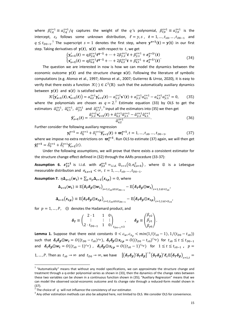where  $\beta_{\ell,q}^{S=1} \equiv a_{\ell,q}^{S=1}/q$  captures the weight of the  $q$ 's polynomial,  $\beta_{\ell,0}^{S=1} \equiv a_{\ell,0}^{S=1}$  is the intercept,  $\varepsilon_{\ell}$  follows some unknown distribution,  $\ell = y, s$ ,  $t = 1, ..., t_{s0}, ..., t_{D0-1}$  and  $q \leq t_{D0-1}$ .<sup>1</sup> The superscript  $s=1$  denotes the first step, where  $y^{s=1}(t) = y(t)$  in our first step. Taking derivatives of  $y(t)$ ,  $s(t)$  with respect to t, we get

$$
\begin{cases}\n\mathbf{y}'_{s=1}(t) = q\beta_{y,q}^{s=1}t^{q-1} + \dots + 2\beta_{y,2}^{s=1}t + \beta_{y,1}^{s=1} + \varepsilon_{y}^{s=1}(t) \\
\mathbf{s}'_{s=1}(t) = q\beta_{s,q}^{s=1}t^{q-1} + \dots + 2\beta_{s,2}^{s=1}t + \beta_{s,1}^{s=1} + \varepsilon_{s}^{s=1}(t)\n\end{cases} (34)
$$

The question we are interested in now is how we can model the dynamics between the economic outcome  $y(t)$  and the structure change  $s(t)$ . Following the literature of symbolic computations (e.g. Alonso et al., 1997; Alonso et al., 2007; Gutierrez & Urroz, 2020), it is easy to verify that there exists a function  $\mathcal{K}(\cdot) \in \mathcal{L}^2(\mathbb{R})$  such that the automatically auxiliary dynamics between  $\mathbf{v}(t)$  and  $\mathbf{s}(t)$  is satisfied with

$$
\mathcal{K}\left(\mathbf{y}_{s=1}^{\prime}(t),\mathbf{s}_{s=1}^{\prime}(t)\right) = a_{s,2}^{s=1}\mathbf{y}_{s=1}^{\prime}(t) - a_{y,2}^{s=1}\mathbf{s}^{\prime}(t) + a_{y,2}^{s=1}a_{s,1}^{s=1} - a_{s,2}^{s=1}a_{y,1}^{s=1} = 0,
$$
 (35)  
where the polynomials are chosen as  $q = 2$ .<sup>2</sup> Estimate equation (33) by OLS to get the estimators  $\hat{a}_{s,2}^{s=1}$ ,  $\hat{a}_{s,1}^{s=1}$ ,  $\hat{a}_{y,2}^{s=1}$  and  $\hat{a}_{y,1}^{s=1}$ ,<sup>3</sup> input all the estimators into (35) we then get

$$
\hat{\mathbf{y}}_{s=1}'(t) = \frac{\hat{a}_{y,2}^{s=1} \mathbf{s}_{s=1}'(t) + \hat{a}_{s,2}^{s=1} \hat{a}_{y,1}^{s=1} - \hat{a}_{y,2}^{s=1} \hat{a}_{s,1}^{s=1}}{\hat{a}_{s,2}^{s=1}}.
$$
(36)

Further consider the following auxiliary regression

$$
\mathbf{y}_{t}^{s=1} = \delta_{0}^{s=1} + \delta_{1}^{s=1} \hat{\mathbf{y}}'_{s=1}(t) + \boldsymbol{\varpi}_{t}^{s=1}, t = 1, ..., t_{s0}, ..., t_{D0-1},
$$
\nwhere we impose no extra restrictions on  $\boldsymbol{\varpi}_{t}^{s=1}$ . Run OLS to estimate (37) again, we will then get\n
$$
\hat{\mathbf{y}}_{t}^{s=1} = \hat{\delta}_{0}^{s=1} + \hat{\delta}_{1}^{s=1} \hat{\mathbf{y}}'_{s=1}(t).
$$

Under the following assumptions, we will prove that there exists a consistent estimator for the structure change effect defined in (32) through the AARs procedure (33-37):

**Assumption 6.**  $\varepsilon_{y,t}^{s=1}$  is i.i.d. with  $\varepsilon_{y,t}^{s=1} =_{i.i.d.} \mathfrak{S}_{s=1}(0, \sigma_{\varepsilon,s=1}^2)$ , where  $\mathfrak{S}$  is a Lebesgue measurable distribution and  $\sigma_{\varepsilon, s=1} < \infty$ ,  $t = 1, ..., t_{s0}, ..., t_{D0-1}$ .

**Assumption 7.**  $\eta \Delta_{s=1}(w_t) + \sum_p \alpha_p \Delta_{s=1}(x_{t,p}) = 0$ , where

$$
\Delta_{s=1}(w_t) \equiv \mathbb{E}(\delta_T \delta_\beta \odot w_t)_{s=1,t_{s0} \leq t \leq t_{D0-1}} - \mathbb{E}(\delta_T \delta_\beta \odot w_t)_{s=1,1 \leq t < t_{s0}},
$$

$$
\Delta_{s=1}(x_{t,p}) \equiv \mathbb{E}(\delta_T \delta_\beta \odot x_{t,p})_{s=1,t_{s0} \leq t \leq t_{D0-1}} - \mathbb{E}(\delta_T \delta_\beta \odot x_{t,p})_{s=1,1 \leq t < t_{s0}}'
$$

for  $p = 1, ..., P$ ,  $\odot$  denotes the Hadamard product, and

$$
\delta_T \equiv \begin{pmatrix} 2 \cdot 1 & 1 & 0 \\ \vdots & \vdots & \vdots \\ 2 \cdot t_{D0-1} & 1 & 0 \end{pmatrix}_{t_{D0-1} \times 3}, \quad \delta_\beta \equiv \begin{pmatrix} \beta_{y2} \\ \beta_{y1} \\ \beta_{y0} \end{pmatrix}.
$$

**Lemma 1.** Suppose that there exist constants  $0 < c_w, c_{x_n} < min(1/(t_{s0} - 1), 1/(t_{D0} - t_{s0}))$ such that  $\delta_t \delta_\beta \odot w_t = O((t_{D0}-t_{s0})^{c_w})$ ,  $\delta_t \delta_\beta \odot x_{t,p} = O((t_{D0}-t_{s0})^{c_{x_p}})$  for  $t_{s0} \le t \le t_{D0-1}$ and  $\delta_t \delta_\beta \odot w_t = O((t_{s0} - 1)^{c_w})$ ,  $\delta_t \delta_\beta \odot x_{t,p} = O((t_{s0} - 1)^{c_{x_p}})$  for  $1 \le t \le t_{s0-1}$ ,  $p =$ 1, ..., P. Then as  $t_{s0} \to \infty$  and  $t_{D0} \to \infty$ , we have  $\left[ (\delta_T \delta_\beta)' \delta_T \delta_\beta \right]^{-1} (\delta_T \delta_\beta)' t_t \mathbb{E} (\delta_T \delta_\beta)_{s=1,t} =$ 

 $1$  "Automatically" means that without any model specifications, we can approximate the structure change and treatment through a q-order polynomial series as shown in (33), then the dynamics of the change rates between these two variables can be shown in a continuous function shown in (35); "Auxiliary Regression" means that we can model the observed social-economic outcome and its change rate through a reduced-form model shown in (37).

<sup>&</sup>lt;sup>2</sup> The choice of q will not influence the consistency of our estimator.

 $3$  Any other estimation methods can also be adopted here, not limited to OLS. We consider OLS for convenience.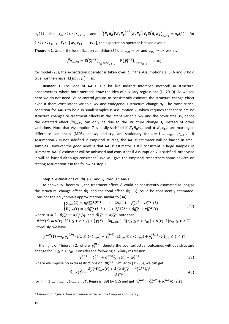$$
o_p(1) \quad \text{for} \quad t_{s0} \le t \le t_{D0-1} \quad \text{and} \quad \left[ (\delta_T \delta_\beta)' \delta_T \delta_\beta \right]^{-1} (\delta_T \delta_\beta)' \ell_t \mathbb{E} (\delta_T \delta_\beta)_{s=1,t} = o_p(1) \quad \text{for}
$$

 $1 \leq t \leq t_{s0-1}, \; \pmb{\ell}_t \in \{w_t, x_{t,1}, \dots, x_{t,P}\},$  the expectation operator is taken over  $t$ .

**Theorem 2.** Under the identification condition (32), as  $t_{s0} \rightarrow \infty$  and  $t_{D0} \rightarrow \infty$  we have

$$
\widehat{\beta}\widehat{\eta}_{AARS} = \mathbb{E}(\widehat{\mathbf{y}}_t^{s=1})_{t_{s0} \leq t \leq t_{D_0-1}} - \mathbb{E}(\widehat{\mathbf{y}}_t^{s=1})_{1 \leq t \leq t_{s0-1}} \longrightarrow_p \beta\eta
$$

for model (28), the expectation operator is taken over  $t$ . If the Assumptions 2, 5, 6 and 7 hold true, we then have  $\mathbb{E}(\widehat{\beta}\eta_{AARS}) = \beta\eta$ .

**Remark 3.** The idea of AARs is a bit like Indirect Inference methods in structural econometrics, where both methods draw the idea of auxiliary regressions (Li, 2010). As we see here we do not need IVs or control groups to consistently estimate the structure change effect even if there exist latent variable  $w_t$  and endogenous structure change  $s_t$ . The most critical condition for AARs to hold in small samples is Assumption 7, which requires that there are no structure changes or treatment effects in the latent variable  $w_t$  and the covariates  $x_t$ , hence the detected effect  $\widehat{\beta\eta}_{AARs}$  can only be due to the structure change  $s_t$  instead of other variations. Note that Assumption 7 is easily satisfied if  $\delta_T \delta_\beta w_t$  and  $\delta_T \delta_\beta x_{t,p}$  are martingale difference sequences (MDS), or  $w_t$  and  $x_{tp}$  are stationary for  $t = 1, ..., t_{s0}, ..., t_{D0-1}$ . If Assumption 7 is not satisfied in empirical studies, the AARs' estimator will be biased in small samples. However the good news is that AARs' estimator is still consistent in large samples. In summary, AARs' estimator will be unbiased and consistent if Assumption 7 is satisfied, otherwise it will be biased although consistent. $<sup>1</sup>$  We will give the empirical researchers some advices on</sup> testing Assumption 7 in the following step 2.

**Step 2:** estimations of  $\beta \eta + \xi$  and  $\xi$  through AARs.

As shown in Theorem 1, the treatment effect  $\xi$  could be consistently estimated as long as the structural change effect  $\beta\eta$  and the total effect  $\beta\eta + \xi$  could be consistently estimated. Consider the polynomials approximations similar to (34)

$$
\begin{cases}\n\mathbf{y}_{s=2}'(t) = q\beta_{y,q}^{s=2}t^{q-1} + \dots + 2\beta_{y,2}^{s=2}t + \beta_{y,1}^{s=2} + \varepsilon_{y}^{s=2'}(t) \\
\mathbf{D}_{s=2}'(t) = q\beta_{D,q}^{s=2}t^{q-1} + \dots + 2\beta_{D,2}^{s=2}t + \beta_{D,1}^{s=2} + \varepsilon_{D}^{s=2'}(t)\n\end{cases} (38)
$$

where  $q = 2$ ,  $\beta_{\ell,q}^{s=2} \equiv a_{\ell,q}^{s=2}/q$  and  $\beta_{\ell,0}^{s=2} \equiv a_{\ell,0}^{s=2}$ , note that

 $\hat{\mathbf{y}}^{s=2}(t) = \mathbf{y}(t) \cdot \mathbb{I} \{1 \le t < t_{s0}\} + (\mathbf{y}(t) - \hat{\beta}\hat{\eta}_{AARs}) \cdot \mathbb{I} \{t_{s0} \le t < t_{D0}\} + \mathbf{y}(t) \cdot \mathbb{I} \{t_{D0} \le t < T\}.$ Obviously, we have

$$
\hat{\mathbf{y}}^{s=2}(t) \longrightarrow_{\mathrm{p}} \mathbf{y}_{t}^{(0,0)} \cdot \mathbb{I}\{1 \le t < t_{s0}\} + \mathbf{y}_{t}^{(0,0)} \cdot \mathbb{I}\{t_{s0} \le t < t_{D0}\} + \mathbf{y}_{t}^{(1,1)} \cdot \mathbb{I}\{t_{D0} \le t < T\}
$$

in the light of Theorem 2, where  $y_t^{(0,0)}$  denote the counterfactual outcomes without structure change for  $1 \le t < t_{D0}$ . Consider the following auxiliary regression

$$
y_t^{s=2} = \delta_0^{s=2} + \delta_1^{s=2} \hat{y}_{s=2}'(t) + \varpi_t^{s=2},
$$
\n(39)

where we impose no extra restrictions on  $\varpi_t^{s=2}$ . Similar to (35-36), we can get

$$
\hat{\mathbf{y}}_{s=2}'(t) = \frac{\hat{a}_{y,2}^{s=2} \mathbf{D}_{s=2}'(t) + \hat{a}_{D,2}^{s=2} \hat{a}_{y,1}^{s=2} - \hat{a}_{y,2}^{s=2} \hat{a}_{D,1}^{s=2}}{\hat{a}_{D,2}^{s=2}} \tag{40}
$$

for  $t = 1, ..., t_{s0}, ..., t_{D0-1}, ..., T$ . Regress (39) by OLS and get  $\hat{y}_{t}^{s=2} = \hat{\delta}_{0}^{s=2} + \hat{\delta}_{1}^{s=2} \hat{y}'_{s=2}(t)$ .

 $<sup>1</sup>$  Assumption 7 guarantees unbiasness while Lemma 1 implies consistency.</sup>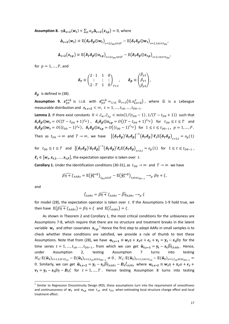**Assumption 8.**  $\eta \Delta_{s=2}(w_t) + \sum_p \alpha_p \Delta_{s=2}(x_{t,p}) = 0$ , where

$$
\Delta_{s=2}(w_t) \equiv \mathbb{E}(\delta_T \delta_\beta \odot w_t)_{s=2, t_{D0} \le t \le T} - \mathbb{E}(\delta_T \delta_\beta \odot w_t)_{s=2, 1 \le t < t_{D0}},
$$
  

$$
\Delta_{s=2}(x_{t,p}) \equiv \mathbb{E}(\delta_T \delta_\beta \odot x_{t,p})_{s=2, t_{D0} \le t \le T} - \mathbb{E}(\delta_T \delta_\beta \odot x_{t,p})_{s=2, 1 \le t < t_{D0}},
$$

for  $p = 1, ..., P$ , and

$$
\delta_T \equiv \begin{pmatrix} 2 \cdot 1 & 1 & 0 \\ \vdots & \vdots & \vdots \\ 2 \cdot T & 1 & 0 \end{pmatrix}_{T \times 3}, \quad \delta_\beta \equiv \begin{pmatrix} \beta_{y2} \\ \beta_{y1} \\ \beta_{y0} \end{pmatrix},
$$

 $\delta_{\beta}$  is defined in (38).

**Assumption 9.**  $\varepsilon_{y,t}^{s=2}$  is i.i.d. with  $\varepsilon_{y,t}^{s=2} =_{i.i.d.} \mathfrak{S}_{s=2}(0, \sigma_{\varepsilon,s=2}^2)$ , where  $\mathfrak{S}$  is a Lebesgue measurable distribution and  $\sigma_{\varepsilon, s=2} < \infty$ ,  $t = 1, ..., t_{s0}, ..., t_{D0-1}$ .

**Lemma 2.** If there exist constants  $0 < \tilde{c}_w, \tilde{c}_{x_n} < min(1/(t_{D0} - 1), 1/(T - t_{D0} + 1))$  such that  $\delta_t \delta_\beta \odot w_t = O((T-t_{D0}+1)^{\tilde{c}_w})$ ,  $\delta_t \delta_\beta \odot x_{t,p} = O((T-t_{D0}+1)^{c_{x_p}})$  for  $t_{D0} \le t \le T$  and  $\delta_t \delta_\beta \odot w_t = O((t_{D0} - 1)^{\tilde{c}_w})$ ,  $\delta_t \delta_\beta \odot x_{t,p} = O((t_{D0} - 1)^{\tilde{c}_{xp}})$  for  $1 \le t \le t_{D0-1}$ ,  $p = 1, ..., P$ . Then as  $t_{D0} \to \infty$  and  $T \to \infty$ , we have  $\left[ (\delta_T \delta_\beta)' \delta_T \delta_\beta \right]^{-1} (\delta_T \delta_\beta)' \ell_t \mathbb{E} (\delta_T \delta_\beta)_{s=2,t} = o_p(1)$ 

for  $t_{D0} \le t \le T$  and  $\left[ (\delta_T \delta_\beta)' \delta_T \delta_\beta \right]^{-1} (\delta_T \delta_\beta)' \ell_t \mathbb{E} (\delta_T \delta_\beta)_{s=2,t} = o_p(1)$  for  $1 \le t \le t_{D0-1}$ ,  $\boldsymbol{\ell}_{t} \in \{w_{t}, x_{t,1}, ..., x_{t,P}\}$ , the expectation operator is taken over  $|t|$ .

**Corollary 1.** Under the identification conditions (30-31), as  $t_{D0} \rightarrow \infty$  and  $T \rightarrow \infty$  we have

$$
\widehat{\beta\eta+\xi}_{AARS}=\mathbb{E}(\widehat{\mathbf{y}}_t^{S=2})_{t_{D0}\leq t\leq T}-\mathbb{E}(\widehat{\mathbf{y}}_t^{S=2})_{1\leq t\leq t_{D0-1}}\longrightarrow_p \beta\eta+\xi,
$$

and

<u>.</u>

$$
\hat{\xi}_{AARS} = \widehat{\beta \eta + \xi}_{AARS} - \widehat{\beta \eta}_{AARS} \longrightarrow_p \xi
$$

for model (28), the expectation operator is taken over  $t$ . If the Assumptions 1-9 hold true, we then have  $\mathbb{E}(\beta \overline{\eta} + \overline{\xi}_{AARS}) = \beta \eta + \xi$  and  $\mathbb{E}(\overline{\xi}_{AARS}) = \xi$ .

As shown in Theorem 2 and Corollary 1, the most critical conditions for the unbiasness are Assumptions 7-8, which require that there are no structure and treatment breaks in the latent variable  $w_t$  and other covariates  $x_{t,p}$ .<sup>1</sup> Hence the first step to adopt AARs in small samples is to check whether these conditions are satisfied, we provide a rule of thumb to test these Assumptions. Note that from (28), we have  $u_{t,s=1} \equiv w_t \eta + x_t \alpha + \epsilon_t + v_t = y_t - s_t \beta \eta$  for the time series  $t = 1, ..., t_{s0}, ..., t_{D0-1}$ , from which we can get  $\hat{u}_{t,s=1} = y_t - s_t \widehat{\beta} \hat{\eta}_{AARS}$ . Hence, under Assumption 2, testing Assumption 7 turns into testing  $\mathcal{H}_0: \mathbb{E}(\widehat{\bm{u}}_t)_{s=1,1\leq t < t_{s0}} - \mathbb{E}(\widehat{\bm{u}}_t)_{s=1,t_{s0}\leq t \leq t_{D0-1}} \neq 0$ ,  $\mathcal{H}_1: \mathbb{E}(\widehat{\bm{u}}_t)_{s=1,1\leq t < t_{s0}} - \mathbb{E}(\widehat{\bm{u}}_t)_{s=1,t_{s0}\leq t \leq t_{D0-1}} =$ 0. Similarly, we can get  $\hat{u}_{t,s=2} = y_t - s_t \hat{\beta} \hat{\eta}_{AARs} - D_t \hat{\xi}_{AARs}$  where  $u_{t,s=2} \equiv w_t \eta + x_t \alpha + \epsilon_t + \epsilon_t$  $v_t = y_t - s_t \beta \eta - D_t \xi$  for  $t = 1, ..., T$ . Hence testing Assumption 8 turns into testing

 $<sup>1</sup>$  Similar to Regression Discontinuity Design (RD), these assumptions turn into the requirement of smoothness</sup> and continuousness of  $w_t$  and  $x_{t,p}$  near  $t_{s0}$  and  $t_{D0}$  when estimating local structure change effect and local treatment effect.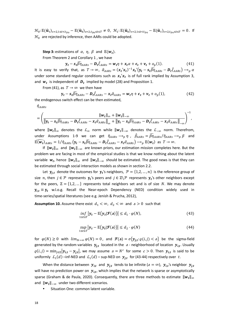$\mathcal{H}_0: \mathbb{E}(\widehat{\boldsymbol{u}}_t)_{s=2,1\leq t < t_{D0}} - \mathbb{E}(\widehat{\boldsymbol{u}}_t)_{s=2,t_{D0}\leq t \leq T} \neq 0$ ,  $\mathcal{H}_1: \mathbb{E}(\widehat{\boldsymbol{u}}_t)_{s=2,1\leq t < t_{D0}} - \mathbb{E}(\widehat{\boldsymbol{u}}_t)_{s=2,t_{D0}\leq t \leq T} = 0$ . If  $\mathcal{H}_0$  are rejected by inference, then AARs could be adopted.

**Step 3:** estimations of  $\alpha$ ,  $\eta$ ,  $\beta$  and  $\mathbb{E}(w_t)$ . From Theorem 2 and Corollary 1 , we have

$$
\mathbf{y}_t - \mathbf{s}_t \widehat{\beta} \widehat{\eta}_{AARs} - \mathbf{D}_t \widehat{\xi}_{AARs} = \mathbf{w}_t \eta + x_t \alpha + \epsilon_t + \mathbf{v}_t + o_p(1). \tag{41}
$$

It is easy to verify that, as  $T\to\infty$ ,  $\hat\alpha_{AARS}=(x_t'x_t)^{-1}x_t'(y_t-s_t\widehat\beta\eta_{AARS}-D_t\widehat\xi_{AARS})\to_p\alpha$ under some standard regular conditions such as  $x_t x_t$  is of full rank implied by Assumption 3, and  $w_t$  is independent of  $D_t$  implied by model (28) and Proposition 1.

From (41), as  $T \rightarrow \infty$  we then have

$$
\mathbf{y}_t - \mathbf{s}_t \widehat{\beta} \widehat{\eta}_{AARS} - \mathbf{D}_t \widehat{\xi}_{AARS} - \mathbf{x}_t \widehat{\alpha}_{AARS} = \mathbf{w}_t \eta + \epsilon_t + \mathbf{v}_t + o_p(1),
$$
\n(42)

\nthe endogenous switch effect can be then estimated,

 $\hat{\eta}_{AARS}$ 

$$
= \left(\frac{\|w_t\|_{\infty} + \|w_t\|_{-\infty}}{\|y_t - s_t\widehat{\beta}\eta_{AARS} - D_t\widehat{\xi}_{AARS} - x_t\widehat{\alpha}_{AARS}\|_{\infty} + \|y_t - s_t\widehat{\beta}\eta_{AARS} - D_t\widehat{\xi}_{AARS} - x_t\widehat{\alpha}_{AARS}\|_{-\infty}}\right)^{-1},
$$

where  $\|w_t\|_{\infty}$  denotes the  $\mathcal{L}_{\infty}$  norm while  $\|w_t\|_{-\infty}$  denotes the  $\mathcal{L}_{-\infty}$  norm. Therefrom, under Assumptions 1-9 we can get  $\hat{\eta}_{AARS} \to_p \eta$ ,  $\hat{\beta}_{AARS} = \hat{\beta} \hat{\eta}_{AARS} / \hat{\eta}_{AARS} \to_p \beta$  and  $\mathbb{E}(w_t)_{AARS} = 1/\hat{\eta}_{AARS} (y_t - s_t \hat{\beta} \hat{\eta}_{AARS} - D_t \hat{\xi}_{AARS} - x_t \hat{\alpha}_{AARS}) \rightarrow_p \mathbb{E}(w_t)$  as  $T \rightarrow \infty$ .

If  $\|w_t\|_{\infty}$  and  $\|w_t\|_{-\infty}$  are known priors, our estimation mission completes here. But the problem we are facing in most of the empirical studies is that we know nothing about the latent variable  $w_t$ , hence  $||w_t||_{\infty}$  and  $||w_t||_{-\infty}$  should be estimated. The good news is that they can be estimated through social interaction models as shown in section 2.2.

Let  $\mathbf{y}_{j,t}$  denote the outcomes for  $\mathbf{y}_t$ 's neighbors,  $\mathcal{P} = \{1,2,...,n\}$  is the reference group of size *n*, then  $j \in \mathcal{P}$  represents  $y_t$ 's peers and  $j \in \mathbb{Z} \backslash \mathcal{P}$  represents  $y_t$ 's other neighbors except for the peers,  $\mathbb{Z} = \{1,2,...\}$  represents total neighbors set and is of size N. We may denote  $y_{i,t} \equiv y_t$  w.l.o.g. Recall the Near-epoch Dependency (NED) condition widely used in time-series/spatial literatures (see e.g. Jenish & Prucha, 2012),

**Assumption 10.** Assume there exist  $d_1 < \infty$ ,  $d_2 < \infty$  and  $s > 0$  such that

$$
\inf_{1 \le t \le T} \left| \mathbf{y}_t - \mathbb{E} \big( \mathbf{y}_t | \mathcal{F}(s) \big) \right| \le d_1 \cdot \varphi(N),\tag{43}
$$

$$
\sup_{1 \le t \le T} \left| \mathbf{y}_t - \mathbb{E}(\mathbf{y}_t | \mathcal{F}(s)) \right| \le d_2 \cdot \varphi(N) \tag{44}
$$

for  $\varphi(N) \ge 0$  with  $\lim_{N \to \infty} \varphi(N) = 0$ , and  $\mathcal{F}(s) = \sigma \{y_{it}: \varphi(i,j) < s\}$  be the sigma-field generated by the random variables  $y_{i,t}$  located in the  $s$ -neighborhood of location  $y_{i,t}$ . Usually  $\varrho(i,j) = \min_{j \in \mathbb{Z}} |y_{i,t} - y_{j,t}|$ , we may assume  $s = N^c$  for some  $c > 0$ . Then  $y_{i,t}$  is said to be uniformly  $\mathcal{L}_1(d)$  -inf-NED and  $\mathcal{L}_1(d)$  - sup-NED on  $\mathbf{y}_{j,t}$  for (43-44) respectively over t.

When the distance between  $y_{i,t}$  and  $y_{j,t}$  tends to be infinite ( $s = \infty$ ),  $y_{i,t}$ 's neighbor  $y_{j,t}$ will have no prediction power on  $y_{it}$ , which implies that the network is sparse or asymptotically sparse (Graham & de Paula, 2020). Consequently, there are three methods to estimate  $\|w_t\|_{\infty}$ and  $\|\mathbf{w}_t\|_{-\infty}$  under two different scenarios.

Situation One: common latent variable.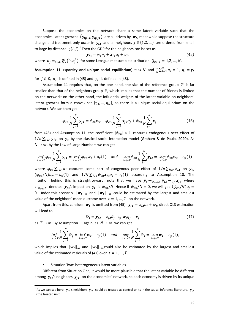Suppose the economies on the network share a same latent variable such that the economies' latent growths  $(y_{lp,i,t}, y_{lp,j,t})$  are all driven by  $w_t$ , meanwhile suppose the structure change and treatment only occur in  $y_{i,t}$  and all neighbors  $j \in \{1,2,...\}$  are ordered from small to large by distance  $\varrho(i, j)$ .<sup>1</sup> Then the GDP for the neighbors can be set as

$$
y_{j,t} = w_t \eta_j + x_{j,t} \alpha_j + v_j,
$$
  
where  $v_j =_{i.i.d.} \mathfrak{F}_k(0, \sigma_j^2)$  for some Lebsgue measurable distribution  $\mathfrak{F}_k$ ,  $j = 1, 2, ..., N$ . (45)

**Assumption 11. (sparsity and unique social equilibrium)**  $n \ll N$  and  $\frac{1}{N} \sum_{j=1}^{N} \eta_j = 1$ ,  $\eta_j = \gamma_j$ 

for  $j \in \mathbb{Z}$ ,  $\eta_j$  is defined in (45) and  $\gamma_j$  is defined in (48).

Assumption 11 requires that, on the one hand, the size of the reference group  $\mathcal P$  is far smaller than that of the neighbors group  $\mathbb Z$ , which implies that the number of friends is limited on the network; on the other hand, the influential weights of the latent variable on neighbors' latent growths form a convex set  $\{\eta_1, ..., \eta_N\}$ , so there is a unique social equilibrium on the network. We can then get

$$
\phi_{en} \frac{1}{N} \sum_{j=1}^{N} y_{j,t} = \phi_{en} w_t + \phi_{en} \frac{1}{N} \sum_{j=1}^{N} x_{j,t} \alpha_j + \phi_{en} \frac{1}{N} \sum_{j=1}^{N} v_j
$$
(46)

from (45) and Assumption 11, the coefficient  $|\phi_{en}| < 1$  captures endogenous peer effect of  $1/n \sum_{j \in \mathcal{P}} y_{j,t}$  on  $y_t$  by the classical social interaction model (Graham & de Paula, 2020). As  $N \rightarrow \infty$ , by the Law of Large Numbers we can get

$$
\inf_{1 \le t \le T} \phi_{en} \frac{1}{N} \sum_{j=1}^{N} y_{j,t} = \inf_{1 \le t \le T} \phi_{en} w_t + o_p(1) \quad \text{and} \quad \sup_{1 \le t \le T} \phi_{en} \frac{1}{N} \sum_{j=1}^{N} y_{j,t} = \sup_{1 \le t \le T} \phi_{en} w_t + o_p(1)
$$

where  $\phi_{en}\sum_{j\in\mathcal{P}}\alpha_j$  captures some sort of exogenous peer effect of  $1/n\sum_{j\in\mathcal{P}}x_{j,t}$  on  $y_t$ ,  $(\phi_{en}/N)\alpha_N = o_p(1)$  and  $1/N \sum_{j\in\mathbb{Z}} \phi_{en} x_{j,t} \alpha_j = o_p(1)$  according to Assumption 10. The intuition behind this is straightforward, note that we have  $y_t \leftarrow_{\phi_{en}/N} y_{j,t} \leftarrow_{\alpha_j} x_{j,t}$  where  $\leftarrow_{\phi_{en}/N}$  denotes  $y_{j,t}$ 's impact on  $y_t$  is  $\phi_{en}/N$ . Hence if  $\phi_{en}/N = 0$ , we will get  $(\phi_{en}/N)\alpha_j =$ 0. Under this scenario,  $\|w_t\|_{\infty}$  and  $\|w_t\|_{-\infty}$  could be estimated by the largest and smallest value of the neighbors' mean outcome over  $t = 1, ..., T$  on the network.

Apart from this, consider  $w_t$  is omitted from (45):  $y_{j,t} = x_{j,t} \alpha_j + \sigma_j$ , direct OLS estimation will lead to

$$
\hat{\boldsymbol{v}}_j = \boldsymbol{y}_{j,t} - \boldsymbol{x}_{j,t} \hat{\alpha}_j \rightarrow_p \boldsymbol{w}_t \eta_j + \boldsymbol{v}_j. \tag{47}
$$

as  $T \to \infty$ . By Assumption 11 again, as  $N \to \infty$  we can get

$$
\inf_{1 \le t \le T} \frac{1}{N} \sum_{j=1}^{N} \widehat{\mathbf{v}}_j = \inf_{1 \le t \le T} \mathbf{w}_t + o_p(1) \quad \text{and} \quad \sup_{1 \le t \le T} \frac{1}{N} \sum_{j=1}^{N} \widehat{\mathbf{v}}_j = \sup_{1 \le t \le T} \mathbf{w}_t + o_p(1),
$$

which implies that  $\|w_t\|_{\infty}$  and  $\|w_t\|_{-\infty}$ could also be estimated by the largest and smallest value of the estimated residuals of (47) over  $t = 1, ..., T$ .

Situation Two: heterogeneous latent variables.

<u>.</u>

Different from Situation One, it would be more plausible that the latent variable be different among  $y_{i,t}$ 's neighbors  $y_{i,t}$  on the economies' network, so each economy is driven by its unique

<sup>&</sup>lt;sup>1</sup> As we can see here,  $y_{i,t}$ 's neighbors  $y_{j,t}$  could be treated as control units in the causal inference literature,  $y_{i,t}$ is the treated unit.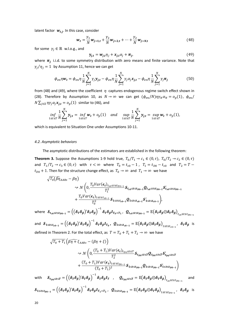latent factor  $w_{t,i}$ . In this case, consider

$$
w_t = \frac{\gamma_1}{N} w_{j=1,t} + \frac{\gamma_2}{N} w_{j=2,t} + \dots + \frac{\gamma_2}{N} w_{j=N,t}
$$
(48)

for some  $\gamma_i \in \mathbb{R}$  w.l.o.g., and

$$
\mathbf{y}_{j,t} = \mathbf{w}_{j,t} \eta_j + \mathbf{x}_{j,t} \alpha_j + \boldsymbol{\pi}_j,\tag{49}
$$

where  $\pi_j$  i.i.d. to some symmetry distribution with zero means and finite variance. Note that  $\gamma_i/\eta_i = 1$  by Assumption 11, hence we can get

$$
\phi_{en}\eta\mathbf{w_t} = \phi_{en}\eta \frac{1}{N} \sum_{j=1}^N \gamma_j \mathbf{y_{j,t}} - \phi_{en}\eta \frac{1}{N} \sum_{j=1}^N \gamma_j \alpha_j \mathbf{x_{j,t}} - \phi_{en}\eta \frac{1}{N} \sum_{j=1}^N \gamma_j \boldsymbol{\pi_j}
$$
(50)

from (48) and (49), where the coefficient  $\eta$  captures endogenous regime switch effect shown in (28). Therefore by Assumption 10, as  $N \to \infty$  we can get  $(\phi_{en}/N)\eta \gamma_N \alpha_N = o_p(1)$ ,  $\phi_{en}/$  $N\sum_{j\in\mathbb{Z}}\eta\gamma_j\alpha_jx_{j,t}=o_p(1)\;$  similar to (46), and

$$
\inf_{1\leq t\leq T}\frac{1}{N}\sum_{j=1}^Ny_{j,t}=\inf_{1\leq t\leq T}w_t+o_p(1)\quad and \quad \sup_{1\leq t\leq T}\frac{1}{N}\sum_{j=1}^Ny_{j,t}=\sup_{1\leq t\leq T}w_t+o_p(1),
$$

which is equivalent to Situation One under Assumptions 10-11.

# *4.2. Asymptotic behaviors*

The asymptotic distributions of the estimators are established in the following theorem:

**Theorem 3.** Suppose the Assumptions 1-9 hold true,  $T_0/T_1 \rightarrow c_1 \in (0, \tau)$ ,  $T_0/T_2 \rightarrow c_2 \in (0, \tau)$ and  $T_1/T_2 \to c_3 \in (0, \tau)$  with  $\tau < \infty$  where  $T_0 = t_{s0} - 1$ ,  $T_1 = t_{D0} - t_{s0}$  and  $T_2 = T$  $t_{D0} + 1$ . Then for the structure change effect, as  $T_0 \rightarrow \infty$  and  $T_1 \rightarrow \infty$  we have

$$
\sqrt{T_0(\beta\eta_{AARS} - \beta\eta)}\n\sim \mathcal{N}\left(0, \frac{T_0Var(\epsilon_t)_{t_{s0} \le t \le t_{D0-1}}}{T_1^2} \delta_{t_{s0} \le t \le t_{D0-1}} Q_{t_{s0} \le t \le t_{D0-1}} \delta'_{t_{s0} \le t \le t_{D0-1}}\n+ \frac{T_0Var(\epsilon_t)_{1 \le t \le t_{s0-1}}}{T_0^2} \delta_{1 \le t \le t_{s0-1}} Q_{1 \le t \le t_{s0-1}} \delta'_{1 \le t \le t_{s0-1}}\right),
$$

where  $\mathcal{S}_{t_{s0}\leq t\leq t_{D0-1}}=\left((\delta_T\delta_\beta)'\delta_T\delta_\beta\right)^{-1}\delta_T\delta_\beta I_{T_0+T_1}$ ,  $\mathcal{Q}_{t_{s0}\leq t\leq t_{D0-1}}=\mathbb{E}\big(\delta_T\delta_\beta\odot\delta_T\delta_\beta\big)_{t_{s0}\leq t\leq t_{D0-1}}$ 

and  $S_{1 \leq t \leq t_{s0-1}} = ((\delta_T \delta_\beta)' \delta_T \delta_\beta)^{-1} \delta_T \delta_\beta I_{T_0}$ ,  $Q_{1 \leq t \leq t_{s0-1}} = \mathbb{E} (\delta_T \delta_\beta \odot \delta_T \delta_\beta)_{1 \leq t \leq t_{s0-1}}$ ,  $\delta_T \delta_\beta$  is defined in Theorem 2. For the total effect, as  $T = T_0 + T_1 + T_2 \rightarrow \infty$  we have

$$
\sqrt{T_0 + T_1} \left( \beta \widehat{\eta} + \xi_{AARS} - (\beta \eta + \xi) \right)
$$
  
\n
$$
\sim \mathcal{N} \left( 0, \frac{(T_0 + T_1)Var(\epsilon_t)_{t_{D0} \le t \le T}}{T_2^2} \delta_{t_{D0} \le t \le T} \mathcal{Q}_{t_{D0} \le t \le T} \delta'_{t_{D0} \le t \le T}
$$
  
\n
$$
+ \frac{(T_0 + T_1)Var(\epsilon_t)_{1 \le t \le t_{D0-1}}}{(T_0 + T_1)^2} \delta_{1 \le t \le t_{D0-1}} \mathcal{Q}_{1 \le t \le t_{D0-1}} \delta'_{1 \le t \le t_{D0-1}} \right)
$$

with  $\mathcal{S}_{t_{D0}\leq t\leq T} = ((\delta_T\delta_\beta)' \delta_T\delta_\beta)^{-1} \delta_T\delta_\beta I_T$ ,  $\mathcal{Q}_{t_{D0}\leq t\leq T} = \mathbb{E}(\delta_T\delta_\beta \odot \delta_T\delta_\beta)_{t_{S0}\leq t\leq t_{D0-1}}$ and

$$
S_{1 \leq t \leq t_{D0-1}} = ((\delta_T \delta_\beta)' \delta_T \delta_\beta)^{-1} \delta_T \delta_\beta I_{T_1 + T_2}, \quad Q_{1 \leq t \leq t_{D0-1}} = \mathbb{E} (\delta_T \delta_\beta \odot \delta_T \delta_\beta)_{1 \leq t \leq t_{D0-1}}, \quad \delta_T \delta_\beta \quad \text{is}
$$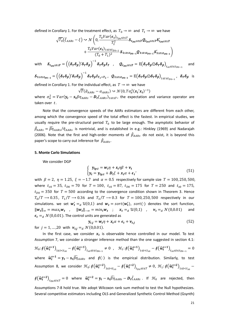defined in Corollary 1. For the treatment effect, as  $T_0 \rightarrow \infty$  and  $T_1 \rightarrow \infty$  we have

$$
\sqrt{T_0}(\hat{\xi}_{AARS} - \xi) \sim \mathcal{N}\left(0, \frac{T_0 Var(\epsilon_t)_{t_{D0} \le t \le T}}{T_2^2} \delta_{t_{D0} \le t \le T} Q_{t_{D0} \le t \le T} \delta'_{t_{D0} \le t \le T} + \frac{T_0 Var(\epsilon_t)_{1 \le t \le t_{D0-1}}}{(T_0 + T_1)^2} \delta_{1 \le t \le t_{D0-1}} Q_{1 \le t \le t_{D0-1}} \delta'_{1 \le t \le t_{D0-1}}\right)
$$

with  $\mathcal{S}_{t_{D0}\leq t\leq T} = ((\delta_T\delta_\beta)' \delta_T\delta_\beta)^{-1} \delta_T\delta_\beta I_T$ ,  $\mathcal{Q}_{t_{D0}\leq t\leq T} = \mathbb{E}(\delta_T\delta_\beta \odot \delta_T\delta_\beta)_{t_{\text{SO}}\leq t\leq t_{D0-1}}$ and

$$
\mathcal{S}_{1 \leq t \leq t_{D0-1}} = ((\delta_T \delta_\beta)' \delta_T \delta_\beta)^{-1} \delta_T \delta_\beta I_{T_1 + T_2}, \quad \mathcal{Q}_{1 \leq t \leq t_{D0-1}} = \mathbb{E} (\delta_T \delta_\beta \odot \delta_T \delta_\beta)_{1 \leq t \leq t_{D0-1}}, \quad \delta_T \delta_\beta \quad \text{is}
$$

defined in Corollary 1. For the individual effect, as  $T \rightarrow \infty$  we have

$$
\sqrt{T}(\hat{\alpha}_{AARS} - \alpha_{AARS}) \sim \mathcal{N}(0, T\sigma_{\alpha}^2(\mathbf{x_t}^{\prime}\mathbf{x_t})^{-1})
$$

where  $\sigma_{\alpha}^2 = Var(y_t - s_t \beta \eta_{AARS} - D_t \xi_{AARS})_{1 \le t \le T}$ , the expectation and variance operator are taken over  $t$ .

Note that the convergence speeds of the AARs estimators are different from each other, among which the convergence speed of the total effect is the fastest. In empirical studies, we usually require the pre-structural period  $T_0$  to be large enough. The asymptotic behavior of  $\hat{\beta}_{AARS}=\widehat{\beta}\widehat{\eta}_{AARS}/\widehat{\eta}_{AARS}$  is nontrivial, and is established in e.g.: Hinkley (1969) and Nadarajah (2006). Note that the first and high-order moments of  $\beta_{AARS}$  do not exist, it is beyond this paper's scope to carry out inference for  $\beta_{AARS}$ .

#### **5. Monte Carlo Simulations**

We consider DGP

$$
\begin{cases} y_{lp,t} = w_t \eta + s_t \eta \beta + v_t \\ y_t = y_{lp,t} + D_t \xi + x_t \alpha + \epsilon_t' \end{cases}
$$
\n(51)

with  $\beta = 2$ ,  $\eta = 1.25$ ,  $\xi = -1.7$  and  $\alpha = 0.5$  respectively for sample size  $T = 100, 250, 500$ , where  $t_{s0} = 35$ ,  $t_{D0} = 70$  for  $T = 100$ ,  $t_{s0} = 87$ ,  $t_{D0} = 175$  for  $T = 250$  and  $t_{s0} = 175$ ,  $t_{D0} = 350$  for  $T = 500$  according to the convergence condition shown in Theorem 3. Hence  $T_0/T \rightarrow 0.35$ ,  $T_1/T \rightarrow 0.36$  and  $T_3/T \rightarrow 0.3$  for  $T = 100, 250, 500$  respectively in our simulations. we set  $w'_t =_d U(0,1)$  and  $w_t = sort(w'_t)$ , sort $(\cdot)$  denotes the sort function,  $\|\mathbf{w}_t\|_{\infty} = \max_t \mathbf{w}_t$ ,  $\|\mathbf{w}_t\|_{-\infty} = \min_t \mathbf{w}_t$ ;  $\mathbf{x}_t =_d \mathcal{U}(0,1)$ ,  $\mathbf{v}_t =_d \mathcal{N}(0,0.01)$  and  $\epsilon_t =_d \mathcal{N}(0,0.01)$ . The control units are generated as

$$
\mathbf{y}_{t,j} = \mathbf{w}_t \eta + x_t \alpha + \epsilon_t + \mathbf{v}_{t,j}
$$
\n
$$
\text{for } j = 1, \dots, 20 \text{ with } \mathbf{v}_{t,j} =_d \mathcal{N}(0, 0.01).
$$
\n
$$
(52)
$$

In the first case, we consider  $x_t$  is observable hence controlled in our model. To test Assumption 7, we consider a stronger inference method than the one suggested in section 4.1:  $\mathcal{H}_0: \mathcal{f}(\hat{\boldsymbol{u}}_t^{s=1})_{1 \leq t < t_{s0}} - \mathcal{f}(\hat{\boldsymbol{u}}_t^{s=1})_{t_{s0} \leq t \leq t_{D0-1}} \neq 0$ ,  $\mathcal{H}_1: \mathcal{f}(\hat{\boldsymbol{u}}_t^{s=1})_{1 \leq t < t_{s0}} - \mathcal{f}(\hat{\boldsymbol{u}}_t^{s=1})_{t_{s0} \leq t \leq t_{D0-1}} = 0$ where  $\hat{\bm{u}}_t^{s=1} = \bm{y}_t - \bm{s}_t \hat{\beta} \hat{\eta}_{AARs}$  and  $\hat{\beta}(\cdot)$  is the empirical distribution. Similarly, to test Assumption 8, we consider  $\mathcal{H}_0$ :  $\oint (\widehat{\bm{u}}_t^{s=2})_{1\leq t < t_{\scriptscriptstyle S0}} - \oint (\widehat{\bm{u}}_t^{s=2})_{t_{D0}\leq t\leq T} \neq 0$ ,  $\mathcal{H}_1$ :  $\oint (\widehat{\bm{u}}_t^{s=2})_{1\leq t < t_{\scriptscriptstyle S0}} - \oint (\widehat{\bm{u}}_t^{s=2})_{t_{\scriptscriptstyle S0}}$ 

$$
\mathcal{B}(\widehat{\mathbf{u}}_t^{s=2})_{t_{D_0} \le t \le T} = 0 \quad \text{where} \quad \widehat{\mathbf{u}}_t^{s=2} = \mathbf{y}_t - \mathbf{s}_t \widehat{\beta} \widehat{\eta}_{AARS} - \mathbf{D}_t \widehat{\xi}_{AARS} \quad \text{if} \quad \mathcal{H}_0 \quad \text{are rejected, then}
$$

Assumptions 7-8 hold true. We adopt Wilcoxon rank sum method to test the Null hypothesizes. Several competitive estimators including OLS and Generalized Synthetic Control Method (Gsynth)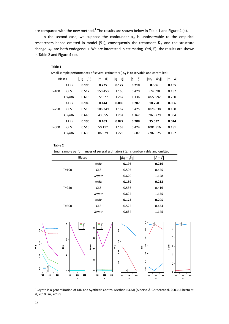are compared with the new method.<sup>1</sup> The results are shown below in Table 1 and Figure 4 (a).

In the second case, we suppose the confounder  $x_t$  is unobservable to the empirical researchers hence omitted in model (51), consequently the treatment  $D_t$  and the structure change  $s_t$  are both endogenous. We are interested in estimating  $(\eta \beta, \xi)$ , the results are shown in Table 2 and Figure 4 (b).

# **Table 1**

Small sample performances of several estimators (  $x_t$  is observable and controlled).

| <b>Biases</b> |            | $ \beta\eta-\widehat{\beta\eta} $ | $ \beta - \hat{\beta} $ | $ \eta-\hat{\eta} $ | $ \xi-\hat{\xi} $ | $  w_t - \hat{w}_t  $ | $ \alpha - \hat{\alpha} $ |
|---------------|------------|-----------------------------------|-------------------------|---------------------|-------------------|-----------------------|---------------------------|
| $T = 100$     | AARs       | 0.195                             | 0.225                   | 0.127               | 0.210             | 8.366                 | 0.105                     |
|               | <b>OLS</b> | 0.512                             | 150.453                 | 1.166               | 0.420             | 574.398               | 0.187                     |
|               | Gsynth     | 0.616                             | 72.527                  | 1.267               | 1.136             | 4822.992              | 0.260                     |
| $T = 250$     | AARs       | 0.189                             | 0.144                   | 0.089               | 0.207             | 18.758                | 0.066                     |
|               | <b>OLS</b> | 0.513                             | 106.349                 | 1.167               | 0.425             | 1028.038              | 0.180                     |
|               | Gsynth     | 0.643                             | 43.855                  | 1.294               | 1.162             | 6963.779              | 0.004                     |
|               | AARs       | 0.190                             | 0.103                   | 0.072               | 0.208             | 35.532                | 0.044                     |
| $T = 500$     | <b>OLS</b> | 0.515                             | 50.112                  | 1.163               | 0.424             | 1001.816              | 0.181                     |
|               | Gsynth     | 0.636                             | 86.979                  | 1.229               | 0.687             | 27020.25              | 0.152                     |

#### **Table 2**

Small sample performances of several estimators (  $x_t$  is unobservable and omitted).

|           | <b>Biases</b> | $ \beta\eta - \widehat{\beta\eta} $ | $ \xi - \hat{\xi} $ |
|-----------|---------------|-------------------------------------|---------------------|
|           | AARs          | 0.196                               | 0.216               |
| $T = 100$ | <b>OLS</b>    | 0.507                               | 0.425               |
|           | Gsynth        | 0.620                               | 1.158               |
|           | AARs          | 0.189                               | 0.213               |
| $T = 250$ | <b>OLS</b>    | 0.536                               | 0.416               |
|           | Gsynth        | 0.624                               | 1.155               |
|           | AARs          | 0.173                               | 0.205               |
| $T = 500$ | <b>OLS</b>    | 0.522                               | 0.434               |
|           | Gsynth        | 0.634                               | 1.145               |



<sup>&</sup>lt;sup>1</sup> Gsynth is a generalization of DID and Synthetic Control Method (SCM) (Alberto & Gardeazabal, 2003; Alberto et. al, 2010; Xu, 2017).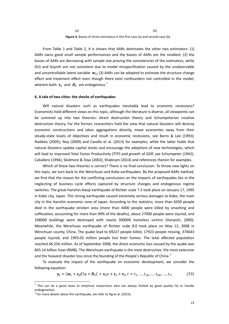$(a)$  (b) **Figure 4.** Biases of three estimators in the first case (a) and second case (b).

From Table 1 and Table 2, it is shown that AARs dominates the other two estimators: (1) AARs owns good small sample performances and the biases of AARs are the smallest; (2) the biases of AARs are decreasing with sample size proving the consistencies of the estimators, while OLS and Gsynth are not consistent due to model misspecification caused by the unobservable and uncontrollable latent variable  $w_t$ ; (3) AARs can be adopted to estimate the structure change effect and treatment effect even though there exist confounders not controlled in the model, wherein both  $s_t$  and  $D_t$  are endogenous.<sup>1</sup>

#### **6. A tale of two cities: the shocks of earthquakes**

Will natural disasters such as earthquakes inevitably lead to economic recessions? Economists hold different views on this topic, although the literature is diverse, all viewpoints can be summed up into two theories: direct destruction theory and Schumpeterian creative destruction theory. For the former, researchers hold the view that natural disasters will destroy economic constructions and labor aggregations directly, move economies away from their steady-state levels of objectives and result in economic recessions, see Barro & Lee (1993); Raddatz (2005); Noy (2009) and Cavallo et al. (2013) for examples; while the latter holds that natural disasters update capital stocks and encourage the adoptions of new technologies, which will lead to improved Total Factor Productivity (TFP) and growth of GDP, see Schumpeter (1942), Caballero (1994), Skidmore & Toya (2002), Shabnam (2014) and references therein for examples.

Which of these two theories is correct? There is no final conclusion. To throw new lights on this topic, we turn back to the Wenchuan and Kobe earthquakes. By the proposed AARs method, we find that the reason for the conflicting conclusions on the impacts of earthquakes lies in the neglecting of business cycle effects captured by structure changes and endogenous regime switches. The great Hanshin-Awaji earthquake of Richter scale 7.3 took place on January 17, 1995 in Kobe city, Japan. This strong earthquake caused extremely serious damages to Kobe, the main city in the Hanshin economic zone of Japan. According to the statistics, more than 6500 people died in the earthquake stricken area (more than 4000 people were killed by smashing and suffocation, accounting for more than 90% of the deaths), about 27000 people were injured, and 108000 buildings were destroyed with nearly 300000 homeless victims (Horwich, 2000). Meanwhile, the Wenchuan earthquake of Richter scale 8.0 took place on May 12, 2008 in Wenchuan county, China. The quake lead to 69227 people killed, 17923 people missing, 374643 people injured, and 1993.03 million people lost their homes. The total affected population reached 46.256 million. As of September 2008, the direct economic loss caused by the quake was 845.14 billion Yuan (RMB). The Wenchuan earthquake is the most destructive, the most extensive and the heaviest disaster loss since the founding of the People's Republic of China.<sup>1</sup>

To evaluate the impact of the earthquake on economic development, we consider the following equation:

$$
\mathbf{y}_t = (\mathbf{w}_t + \mathbf{s}_t \beta)\eta + \mathbf{D}_t \xi + x_t \alpha + \epsilon_t + \mathbf{v}_t, t = t_1, ..., t_{s0}, ..., t_{D0}, ..., t_T,
$$
(53)

 $<sup>1</sup>$  This can be a good news to empirical researchers who are always limited by good quality IVs to handle</sup> endogeneities.

 $<sup>1</sup>$  For more details about this earthquake, we refer to Ng et al. (2015).</sup>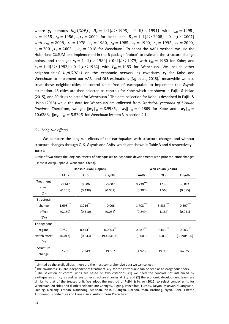where  $\mathbf{y}_t$  denotes  $log(GDP)$ ,  $\mathbf{D}_t = 1 \cdot \mathbb{I}\{t \geq 1995\} + 0 \cdot \mathbb{I}\{t \leq 1994\}$  with  $t_{D0} = 1995$ ,  $t_1 = 1955$ ,  $t_2 = 1956$ ,...,  $t_T = 2009$  for Kobe and  $D_t = 1 \cdot \mathbb{I} \{t \ge 2008\} + 0 \cdot \mathbb{I} \{t \le 2007\}$ with  $t_{D0} = 2008$ ,  $t_1 = 1978$ ,  $t_2 = 1980$ ,  $t_3 = 1985$ ,  $t_4 = 1990$ ,  $t_5 = 1995$ ,  $t_6 = 2000$ ,  $t_7 = 2001$ ,  $t_8 = 2002,...$ ,  $t_T = 2018$  for Wenchuan.<sup>2</sup> To adopt the AARs method, we use the Huberized CUSUM test implemented in the R package "robcp" to estimate the structure change points, and then get  $s_t = 1 \cdot \mathbb{I}\{t \ge 1980\} + 0 \cdot \mathbb{I}\{t \le 1979\}$  with  $\hat{t}_{s0} = 1980$  for Kobe; and  $s_t = 1 \cdot \mathbb{I}\{t \ge 1983\} + 0 \cdot \mathbb{I}\{t \le 1982\}$  with  $\hat{t}_{s0} = 1983$  for Wenchuan. We include other neighbor-cities'  $log(GDPs)$  on the economic network as covariates  $x_t$  for Kobe and Wenchuan to implement our AARs and OLS estimations (Ng et al., 2015), $^3$  meanwhile we also treat these neighbor-cities as control units free of earthquakes to implement the Gsynth estimation. 46 cities are then selected as controls for Kobe which are shown in Fujiki & Hsiao (2015), and 20 cities selected for Wenchuan.<sup>4</sup> The data collection for Kobe is described in Fujiki & Hsiao (2015) while the data for Wenchuan are collected from *Statistical yearbook of Sichuan Province*. Therefrom, we get  $||w_t||_{\infty} = 3.9985$ ,  $||w_t||_{-\infty} = 0.4809$  for Kobe and  $||w_t||_{\infty} =$ 10.6383,  $\|\mathbf{w}_t\|_{-\infty} = 5.5295$  for Wenchuan by step 3 in section 4.1.

# *6.1. Long-run effects*

We compare the long-run effects of the earthquakes with structure changes and without structure changes through OLS, Gsynth and AARs, which are shown in Table 3 and 4 respectively: **Table 3** 

|                                | Hanshin-Awaji (Japan) |                  |                     | Wen-chuan (China)     |                  |                     |  |
|--------------------------------|-----------------------|------------------|---------------------|-----------------------|------------------|---------------------|--|
|                                | AARs                  | <b>OLS</b>       | Gsynth              | AARs                  | <b>OLS</b>       | Gsynth              |  |
| Treatment<br>effect<br>$(\xi)$ | $-0.147$<br>(0.205)   | 0.506<br>(0.438) | $-0.007$<br>(0.052) | $0.739***$<br>(0.307) | 1.130<br>(1.560) | $-0.024$<br>(0.055) |  |
| Structural                     |                       |                  |                     |                       |                  |                     |  |
| change                         | $1.698***$            | $3.216***$       | $-0.006$            | $1.708***$            | $8.833***$       | $-0.397***$         |  |
| effect                         | (0.180)               | (0.310)          | (0.052)             | (0.249)               | (1.187)          | (0.041)             |  |
| $(\beta\eta)$                  |                       |                  |                     |                       |                  |                     |  |
| Endogenous                     |                       |                  |                     |                       |                  |                     |  |
| regime                         | $0.752$ ***           | $0.444$ ***      | $-0.0003$           | $0.887***$            | $0.443***$       | $-0.003***$         |  |
| switch effect                  | (0.017)               | (0.043)          | $(9.425e-05)$       | (0.001)               | (0.033)          | $(3.290e-06)$       |  |
| $(\eta)$                       |                       |                  |                     |                       |                  |                     |  |
| Structure                      | 2.259                 | 7.249            | 19.887              | 1.926                 | 19.938           | 142.251             |  |
| change                         |                       |                  |                     |                       |                  |                     |  |

A tale of two cities: the long-run effects of earthquakes on economic developments with prior structure changes (Hanshin-Awaji, Japan & Wenchuan, China).

 $2$  Limited by the availabilities, these are the most comprehensive data we can collect.

<sup>&</sup>lt;sup>3</sup> The covariates  $x_t$  are independent of treatment  $D_t$  for the earthquake can be seen as an exogenous shock.  $4$  The selection of control units are based on two criterions: (1) we need the controls not influenced by earthquakes at  $t_{D0}$  as well as any other structure changes at  $t_{\rm so}$  and (2) the economic development levels are similar to that of the treated unit. We adopt the method of Fujiki & Hsiao (2015) to select control units for Wenchuan, 20 cities and districts selected are Chengdu, Zigong, Panzhihua, Luzhou, Deyan, Mianyan, Guangyuan, Suining, Neijiang, Leshan, Nanchong, Meishan, Yibin, Guangan, Dazhou, Yaan, Bazhong, Ziyan, Ganzi Tibetan Autonomous Prefecture and Liangshan Yi Autonomous Prefecture.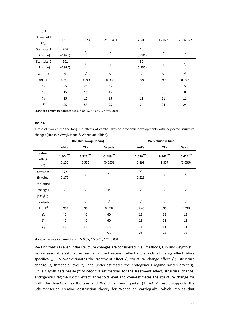| $(\beta)$    |            |            |             |         |            |             |
|--------------|------------|------------|-------------|---------|------------|-------------|
| Threshold    | 1.135      | 1.923      | $-2563.491$ |         | 15.022     | $-2386.022$ |
| $(\tau_s)$   |            |            |             | 7.503   |            |             |
| Statistics-1 | 204        |            |             | 18      |            |             |
| (P. value)   | (0.926)    |            |             | (0.036) |            |             |
| Statistics-2 | 201        |            |             | 30      |            |             |
| (P. value)   | (0.990)    |            |             | (0.235) |            |             |
| Controls     | $\sqrt{ }$ | $\sqrt{ }$ | $\sqrt{ }$  | V       | $\sqrt{ }$ | $\sqrt{}$   |
| Adj. $R^2$   | 0.990      | 0.999      | 0.998       | 0.980   | 0.999      | 0.997       |
| $T_0$        | 25         | 25         | 25          | 5       | 5          | 5           |
| $T_1$        | 15         | 15         | 15          | 8       | 8          | 8           |
| $T_2$        | 15         | 15         | 15          | 11      | 11         | 11          |
| T            | 55         | 55         | 55          | 24      | 24         | 24          |

Standard errors in parentheses. \*<0.05, \*\*<0.01, \*\*\*<0.001.

#### **Table 4**

A tale of two cities? the long-run effects of earthquakes on economic developments with neglected structure changes (Hanshin-Awaji, Japan & Wenchuan, China).

|                                                    | Hanshin-Awaji (Japan) |                       |                         | Wen-chuan (China)       |                       |                                  |
|----------------------------------------------------|-----------------------|-----------------------|-------------------------|-------------------------|-----------------------|----------------------------------|
|                                                    | AARs                  | <b>OLS</b>            | Gsynth                  | AARs                    | <b>OLS</b>            | Gsynth                           |
| Treatment<br>effect<br>$(\xi)$                     | $1.804***$<br>(0.156) | $3.723***$<br>(0.535) | $-0.289$ ***<br>(0.055) | ***<br>2.020<br>(0.198) | $9.963***$<br>(1.857) | $-0.421$ <sup>*</sup><br>(0.036) |
| <b>Statistics</b><br>(P. value)                    | 372<br>(0.179)        |                       |                         | 93<br>(0.228)           |                       |                                  |
| Structure<br>changes<br>$(\beta\eta, \beta, \eta)$ | $\times$              | $\times$              | $\times$                | $\times$                | ×                     | $\times$                         |
| Controls                                           | $\sqrt{}$             | $\sqrt{}$             | $\sqrt{ }$              | $\sqrt{}$               | √                     | $\sqrt{}$                        |
| Adj. $R^2$                                         | 0.991                 | 0.999                 | 0.998                   | 0.845                   | 0.999                 | 0.998                            |
| $T_0$                                              | 40                    | 40                    | 40                      | 13                      | 13                    | 13                               |
| $T_{\rm 1}$                                        | 40                    | 40                    | 40                      | 13                      | 13                    | 13                               |
| $T_2$                                              | 15                    | 15                    | 15                      | 11                      | 11                    | 11                               |
| T                                                  | 55                    | 55                    | 55                      | 24                      | 24                    | 24                               |

Standard errors in parentheses. \*<0.05, \*\*<0.01, \*\*\*<0.001.

We find that: (1) even if the structure changes are considered in all methods, OLS and Gsynth still get unreasonable estimation results for the treatment effect and structural change effect. More specifically, OLS over-estimates the treatment effect  $\xi$ , structural change effect  $\beta\eta$ , structure change  $\beta$ , threshold level  $\tau_s$ , and under-estimates the endogenous regime switch effect  $\eta$ ; while Gsynth gets nearly *false negative* estimations for the treatment effect, structural change, endogenous regime switch effect, threshold level and over-estimates the structure change for both Hanshin-Awaji earthquake and Wenchuan earthquake; (2) AARs' result supports the Schumpeterian creative destruction theory for Wenchuan earthquake, which implies that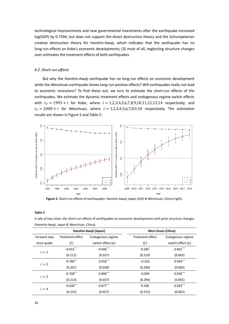technological improvements and new governmental investments after the earthquake increased log(GDP) by 0.7394; but does not support the direct destruction theory and the Schumpeterian creative destruction theory for Hanshin-Awaji, which indicates that the earthquake has no long-run effects on Kobe's economic developments; (3) most of all, neglecting structure changes over-estimates the treatment effects of both earthquakes.

# *6.2. Short-run effects*

But why the Hanshin-Awaji earthquake has no long-run effects on economic development while the Wenchuan earthquake shows long-run positive effects? Will earthquakes really not lead to economic recessions? To find these out, we turn to estimate the short-run effects of the earthquakes. We estimate the dynamic treatment effects and endogenous regime switch effects with  $t_T = 1995 + i$  for Kobe, where  $i = 1,2,3,4,5,6,7,8,9,10,11,12,13,14$  respectively; and  $t_T = 2008 + i$  for Wenchuan, where  $i = 1,2,3,4,5,6,7,8,9,10$  respectively. The estimation results are shown in Figure 5 and Table 5:



**Figure 5.** Short-run effects of earthquakes: Hanshin-Awaji, Japan (left) & Wenchuan, China (right).

#### **Table 5**

A tale of two cities: the short-run effects of earthquakes on economic developments with prior structure changes (Hanshin-Awaji, Japan & Wenchuan, China).

| Hanshin-Awaji (Japan)                            |                                       |            | Wen-chuan (China)     |                        |  |
|--------------------------------------------------|---------------------------------------|------------|-----------------------|------------------------|--|
| Forward step                                     | Treatment effect<br>Endogenous regime |            | Treatment effect      | Endogenous regime      |  |
| $(\xi)$<br>switch effect $(\eta)$<br>since quake |                                       |            | $(\xi)$               | switch effect $(\eta)$ |  |
| $i=1$                                            | $-0.915***$                           | $0.946***$ | $-0.585$ <sup>*</sup> | $0.961***$             |  |
|                                                  | (0.211)                               | (0.027)    | (0.319)               | (0.002)                |  |
| $i=2$                                            | $-0.780***$                           | $0.918***$ | $-0.326$              | $0.944***$             |  |
|                                                  | (0.207)                               | (0.028)    | (0.284)               | (0.002)                |  |
| $i=3$                                            | $-0.708***$                           | $0.896***$ | $-0.094$              | $0.930***$             |  |
|                                                  | (0.213)                               | (0.027)    | (0.296)               | (0.001)                |  |
| $i=4$                                            | $-0.630$ ***                          | $0.877***$ | 0.108                 | $0.924***$             |  |
|                                                  | (0.215)                               | (0.027)    | (0.315)               | (0.001)                |  |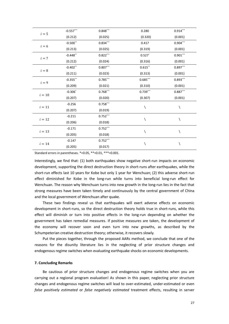|          | $-0.557***$ | $0.848***$ | 0.280      | $0.914***$ |  |
|----------|-------------|------------|------------|------------|--|
| $i=5$    | (0.212)     | (0.025)    | (0.320)    | (0.001)    |  |
| $i=6$    | $-0.500$ ** | $0.834***$ | 0.417      | $0.904***$ |  |
|          | (0.213)     | (0.025)    | (0.319)    | (0.001)    |  |
| $i=7$    | $-0.448$ ** | $0.822***$ | $0.527$ *  | $0.901***$ |  |
|          | (0.212)     | (0.024)    | (0.316)    | (0.001)    |  |
|          | $-0.402$ ** | $0.807***$ | $0.615***$ | $0.897***$ |  |
| $i=8$    | (0.211)     | (0.023)    | (0.313)    | (0.001)    |  |
| $i=9$    | $-0.355$ ** | $0.785***$ | $0.685***$ | $0.893***$ |  |
|          | (0.209)     | (0.021)    | (0.310)    | (0.001)    |  |
|          | $-0.306*$   | $0.768***$ | $0.739***$ | $0.887***$ |  |
| $i=10$   | (0.207)     | (0.020)    | (0.307)    | (0.001)    |  |
| $i=11$   | $-0.256$    | $0.758***$ |            |            |  |
|          | (0.207)     | (0.019)    |            |            |  |
| $i = 12$ | $-0.211$    | $0.752***$ | N          |            |  |
|          | (0.206)     | (0.018)    |            |            |  |
| $i=13$   | $-0.171$    | $0.752***$ |            |            |  |
|          | (0.205)     | (0.018)    | ∖          |            |  |
| $i = 14$ | $-0.147$    | $0.752***$ |            |            |  |
|          | (0.205)     | (0.017)    |            |            |  |

Standard errors in parentheses. \*<0.05, \*\*<0.01, \*\*\*<0.001.

Interestingly, we find that: (1) both earthquakes show negative short-run impacts on economic development, supporting the direct destruction theory in short-runs after earthquakes, while the short-run effects last 10 years for Kobe but only 1 year for Wenchuan; (2) this adverse short-run effect diminished for Kobe in the long-run while turns into beneficial long-run effect for Wenchuan. The reason why Wenchuan turns into new growth in the long-run lies in the fact that strong measures have been taken timely and continuously by the central government of China and the local government of Wenchuan after quake.

These two findings reveal us that earthquakes will exert adverse effects on economic development in short-runs, so the direct destruction theory holds true in short-runs, while this effect will diminish or turn into positive effects in the long-run depending on whether the government has taken remedial measures. If positive measures are taken, the development of the economy will recover soon and even turn into new growths, as described by the Schumpeterian creative destruction theory; otherwise, it recovers slowly.

Put the pieces together, through the proposed AARs method, we conclude that one of the reasons for the disunity literature lies in the neglecting of prior structure changes and endogenous regime switches when evaluating earthquake shocks on economic developments.

# **7. Concluding Remarks**

Be cautious of prior structure changes and endogenous regime switches when you are carrying out a regional program evaluation! As shown in this paper, neglecting prior structure changes and endogenous regime switches will lead to over-estimated, under-estimated or even *false positively estimated* or *false negatively estimated* treatment effects, resulting in server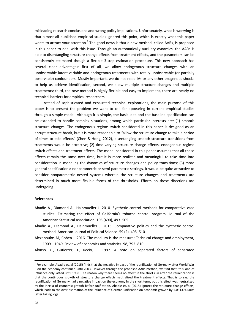misleading research conclusions and wrong policy implications. Unfortunately, what is worrying is that almost all published empirical studies ignored this point, which is exactly what this paper wants to attract your attention.<sup>1</sup> The good news is that a new method, called AARs, is proposed in this paper to deal with this issue. Through an automatically auxiliary dynamics, the AARs is able to disentangling structure change effects from treatment effects, and the parameters can be consistently estimated though a flexible 3-step estimation procedure. This new approach has several clear advantages: first of all, we allow endogenous structure changes with an unobservable latent variable and endogenous treatments with totally unobservable (or partially observable) confounders. Mostly important, we do not need IVs or any other exogenous shocks to help us achieve identification; second, we allow multiple structure changes and multiple treatments; third, the new method is highly flexible and easy to implement, there are nearly no technical barriers for empirical researchers.

Instead of sophisticated and exhausted technical explorations, the main purpose of this paper is to present the problem we want to call for appearing in current empirical studies through a simple model. Although it is simple, the basic idea and the baseline specification can be extended to handle complex situations, among which particular interests are: (1) smooth structure changes. The endogenous regime switch considered in this paper is designed as an abrupt structure break, but it is more reasonable to "allow the structure change to take a period of times to take effects" (Chen & Hong, 2012), disentangling smooth structure transitions from treatments would be attractive; (2) time-varying structure change effects, endogenous regime switch effects and treatment effects. The model considered in this paper assumes that all these effects remain the same over time, but it is more realistic and meaningful to take time into consideration in modeling the dynamics of structure changes and policy transitions; (3) more general specifications: nonparametric or semi-parametric settings. It would be quite attractive to consider nonparametric nested systems wherein the structure changes and treatments are determined in much more flexible forms of the thresholds. Efforts on these directions are undergoing.

## **References**

- Abadie A., Diamond A., Hainmueller J. 2010. Synthetic control methods for comparative case studies: Estimating the effect of California's tobacco control program. Journal of the American Statistical Association. 105 (490), 493–505.
- Abadie A., Diamond A., Hainmueller J. 2015. Comparative politics and the synthetic control method. American Journal of Political Science. 59 (2), 495–510.
- Alexopoulos M, Cohen J. 2016. The medium is the measure: Technical change and employment, 1909—1949. Review of economics and statistics. 98, 792–810.

Alonso, C., Gutierrez, J., Recio, T. 1997. A note on separated factors of separated

 $1$  For example, Abadie et. al (2015) finds that the negative impact of the reunification of Germany after World War II on the economy continued until 2003. However through the proposed AARs method, we find that, this kind of influence only lasted until 1998. The reason why there seems no effect in the short run after the reunification is that the continuous growth of structure change effects neutralized the treatment effects. That is to say, the reunification of Germany had a negative impact on the economy in the short term, but this effect was neutralized by the inertia of economic growth before unification. Abadie et. al (2015) ignores the structure change effects, which leads to the over-estimation of the influence of German unification on economic growth by 1.051374 units (after taking log).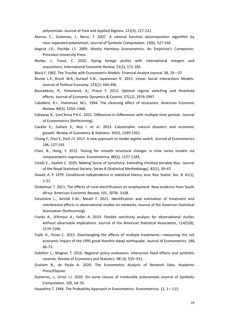polynomials. Journal of Pure and Applied Algebra. 121(3), 217-222.

- Alonso, C., Gutierrez, J., Recio, T. 2007. A rational function decomposition algorithm by near-separated polynomials. Journal of Symbolic Computation. 19(6), 527-544.
- Angrist J.D., Pischke J.S. 2009. Mostly Harmless Econometrics: An Empiricist's Companion. Princeton University Press.
- Becker, J., Fuest, C. 2010. Taxing foreign profits with international mergers and acquisitions. International Economic Review. 51(1), 171-186.
- Black F. 1982. The Trouble with Econometric Models. Financial Analyst Journal. 38, 29—37.
- [Blume](https://www.journals.uchicago.edu/author/Blume%2C+Lawrence+E) L.E.[, Brock](https://www.journals.uchicago.edu/author/Brock%2C+William+A) W.A.[, Durlauf](https://www.journals.uchicago.edu/author/Durlauf%2C+Steven+N) S.N., [Jayaraman](https://www.journals.uchicago.edu/author/Jayaraman%2C+Rajshri) R. 2015. Linear Social Interactions Models. Journal of Political Economy. 123(2): 444-496.
- Boucekkine, R., Pommeret, A., Prieur F. 2013. Optimal regime switching and threshold effects. Journal of Economic Dynamics & Control. 37(12), 2979-2997.
- Caballero, R.J., Hammour, M.L. 1994. The cleansing effect of recessions. American Economic Review. 84(5), 1350–1368.
- Callaway B., Sant'Anna P.H.C. 2021. Difference-in-Differences with multiple time periods. Journal of Econometrics (forthcoming).
- Cavallo E., Galiani S., Noy I. et al. 2013. Catastrophic natural disasters and economic growth. Review of Economics & Statistics. 95(5), 1549-1561.
- Chang Y., Choi Y., Park J.Y. 2017. A new approach to model regime switch. Journal of Econometrics. 196, 127-143
- Chen, B., Hong, Y. 2012. Testing for smooth structural changes in time series models via nonparametric regression. Econometrica. 80(3), 1157-1183.
- Cinelli C., Hazlett C. 2020. Making Sense of Sensitivity: Extending Omitted Variable Bias. Journal of the Royal Statistical Society: Series B (Statistical Methodology). 82(1), 39–67.
- Dawid, A. P. 1979. Conditional independence in statistical theory. Jour. Roy. Statist. Soc. B. 41(1), 1-31.
- Dinkelman T. 2011. The effects of rural electrification on employment: New evidence from South Africa. American Economic Review. 101, 3078– 3108.
- Forastiere L., Airoldi E.M., Mealli F. 2021. Identification and estimation of treatment and interference effects in observational studies on networks. Journal of the American Statistical Association (forthcoming).
- Franks A., D'Amour A., Feller A. 2019. Flexible sensitivity analysis for observational studies without observable implications. Journal of the American Statistical Association, 114(528), 1574-1596.
- Fujiki H., Hsiao C. 2015. Disentangling the effects of multiple treatments—measuring the net economic impact of the 1995 great Hanshin-Awaji earthquake. Journal of Econometrics. 186, 66-73.
- Gobillon L., Magnac T. 2016. Regional policy evaluation: Interactive fixed effects and synthetic controls. Review of Economics and Statistics. 98 (3), 535–551.
- Graham B., de Paula A. 2020. The Econometric Analysis of Network Data. Academic Press/Elsevier.
- Gutierrez, J., Urroz J.J. 2020. On some classes of irreducible polynomials. Journal of Symbolic Computation. 105, 64-70.
- Haavelmo T. 1944. The Probability Approach in Econometrics. Econometrica. 12, 1—115.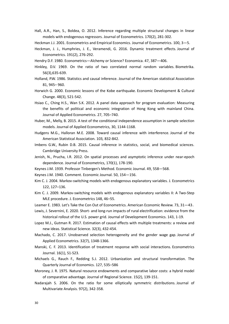Hall, A.R., Han, S., Boldea, O. 2012. Inference regarding multiple structural changes in linear models with endogenous regressors. Journal of Econometrics. 170(2), 281-302.

Heckman J.J. 2001. Econometrics and Empirical Economics. Journal of Econometrics. 100, 3—5.

Heckman, J. J., Humphries, J. E., Veramendi, G. 2016. Dynamic treatment effects. Journal of Econometrics. 191(2), 276-292.

Hendry D.F. 1980. Econometrics—Alchemy or Science? Economica. 47, 387—406.

- Hinkley, D.V. 1969. On the ratio of two correlated normal random variables. Biometrika. 56(3),635-639.
- Holland, P.W. 1986. Statistics and causal inference. Journal of the American statistical Association 81, 945– 960.

Horwich G. 2000. Economic lessons of the Kobe earthquake. Economic Development & Cultural Change. 48(3), 521-542.

- Hsiao C., Ching H.S., Wan S.K. 2012. A panel data approach for program evaluation: Measuring the benefits of political and economic integration of Hong Kong with mainland China. Journal of Applied Econometrics. 27, 705–740.
- Huber, M., Melly, B. 2015. A test of the conditional independence assumption in sample selection models. Journal of Applied Econometrics, 30, 1144-1168.
- Hudgens M.G., Halloran M.E. 2008. Toward causal inference with interference. Journal of the American Statistical Association. 103*,* 832-842.
- Imbens G.W., Rubin D.B. 2015. Causal inference in statistics, social, and biomedical sciences. Cambridge University Press.
- Jenish, N., Prucha, I.R. 2012. On spatial processes and asymptotic inference under near-epoch dependence. Journal of Econometrics, 170(1), 178-190.
- Keynes J.M. 1939. Professor Tinbergen's Method. Economic Journal. 49, 558—568.
- Keynes J.M. 1940. Comment. Economic Journal. 50, 154—156.
- Kim C. J. 2004. Markov-switching models with endogenous explanatory variables. J. Econometrics 122, 127–136.
- Kim C. J. 2009. Markov-switching models with endogenous explanatory variables II: A Two-Step MLE procedure. J. Econometrics 148, 46–55.
- Leamer E. 1983. Let's Take the Con Out of Econometrics. American Economic Review. 73, 31—43.
- Lewis, J. Severnini, E. 2020. Short- and long-run impacts of rural electrification: evidence from the historical rollout of the U.S. power grid. Journal of Development Economics. 143, 1-19.
- Lopez M.J., Gutman R. 2017. Estimation of causal effects with multiple treatments: a review and new ideas. Statistical Science. 32(3), 432-454.
- Machado, C. 2017. Unobserved selection heterogeneity and the gender wage gap. Journal of Applied Econometrics. 32(7), 1348-1366.
- Manski, C. F. 2013. Identification of treatment response with social interactions. Econometrics Journal. 16(1), S1-S23.
- Michaels G., Rauch F., Redding S.J. 2012. Urbanization and structural transformation. The Quarterly Journal of Economics. 127, 535–586
- Moroney, J. R. 1975. Natural resource endowments and comparative labor costs: a hybrid model of comparative advantage. Journal of Regional Science. 15(2), 139-151.
- Nadarajah S. 2006. On the ratio for some elliptically symmetric distributions. Journal of Multivariate Analysis. 97(2), 342-358.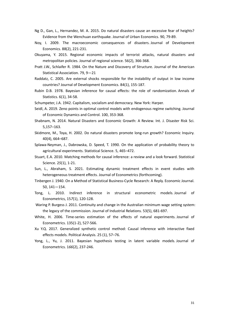- Ng D., Gan, L., Hernandez, M. A. 2015. Do natural disasters cause an excessive fear of heights? Evidence from the Wenchuan earthquake. Journal of Urban Economics. 90, 79-89.
- Noy, I. 2009. The macroeconomic consequences of disasters. Journal of Development Economics. 88(2), 221-231.
- Okuyama, Y. 2015. Regional economic impacts of terrorist attacks, natural disasters and metropolitan policies. Journal of regional science. 56(2), 366-368.
- Pratt J.W., Schlaifer R. 1984. On the Nature and Discovery of Structure. Journal of the American Statistical Association. 79, 9—21
- Raddatz, C. 2005. Are external shocks responsible for the instability of output in low income countries? Journal of Development Economics. 84(1), 155-187.
- Rubin D.B. 1978. Bayesian inference for causal effects: the role of randomization. Annals of Statistics. 6(1), 34-58.
- Schumpeter, J.A. 1942. Capitalism, socialism and democracy. New York: Harper.
- Seidl, A. 2019. Zeno points in optimal control models with endogenous regime switching. Journal of Economic Dynamics and Control. 100, 353-368.
- Shabnam, N. 2014. Natural Disasters and Economic Growth: A Review. Int. J. Disaster Risk Sci. 5,157–163.
- Skidmore, M., Toya, H. 2002. Do natural disasters promote long-run growth? Economic Inquiry. 40(4), 664–687.
- Splawa-Neyman, J., Dabrowska, D. Speed, T. 1990. On the application of probability theory to agricultural experiments. Statistical Science. 5, 465–472.
- Stuart, E.A. 2010. Matching methods for causal inference: a review and a look forward. Statistical Science. 2*5*(1), 1-21.
- Sun, L., Abraham, S. 2021. Estimating dynamic treatment effects in event studies with heterogeneous treatment effects. Journal of Econometrics (forthcoming).
- Tinbergen J. 1940. On a Method of Statistical Business-Cycle Research: A Reply. Economic Journal. 50, 141—154.
- Tong, L. 2010. Indirect inference in structural econometric models. Journal of Econometrics, 15*7*(1), 120-128.
- Waring P. Burgess J. 2011. Continuity and change in the Australian minimum wage setting system: the legacy of the commission. Journal of Industrial Relations. 53(5), 681-697.
- White, H. 2006. Time-series estimation of the effects of natural experiments. Journal of Econometrics. 135(1-2), 527-566.
- Xu Y.Q. 2017. Generalized synthetic control method: Causal inference with interactive fixed effects models. Political Analysis. 25 (1), 57–76.
- Yong, L., Yu, J. 2011. Bayesian hypothesis testing in latent variable models. Journal of Econometrics. 1*66*(2), 237-246.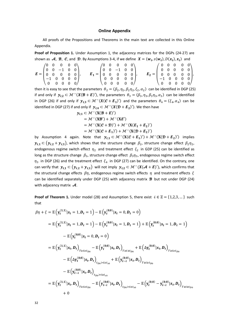## **Online Appendix**

All proofs of the Propositions and Theorems in the main text are collected in this Online Appendix.

**Proof of Proposition 1.** Under Assumption 1, the adjacency matrices for the DGPs (24-27) are shown as  $A$ ,  $B$ ,  $C$ , and  $D$ . By Assumptions 3-4, if we define  $X = (w_t, s(w_t), D(x_t), x_t)$  and

$$
E = \begin{pmatrix} 0 & 0 & 0 & 0 & 0 \\ 0 & 0 & -1 & 0 & 0 \\ 0 & 0 & 0 & 0 & 0 \\ -1 & 0 & 0 & 0 & 0 \\ 0 & 0 & 0 & 0 & 0 \end{pmatrix}, \qquad E_1 = \begin{pmatrix} 0 & 0 & 0 & 0 & 0 \\ 0 & 0 & -1 & 0 & 0 \\ 0 & 0 & 0 & 0 & 0 \\ 0 & 0 & 0 & 0 & 0 \\ 0 & 0 & 0 & 0 & 0 \end{pmatrix}, \qquad E_2 = \begin{pmatrix} 0 & 0 & 0 & 0 & 0 \\ 0 & 0 & 0 & 0 & 0 \\ 0 & 0 & 0 & 0 & 0 \\ -1 & 0 & 0 & 0 & 0 \\ 0 & 0 & 0 & 0 & 0 \end{pmatrix}
$$

then it is easy to see that the parameters  $\theta_2 = (\beta_2, \eta_2, \beta_2, \eta_2, \xi_2, \alpha_2)$  can be identified in DGP (25) if and only if  $y_{t,2} \subset \mathcal{M}^-(X(\mathcal{B}+E)')$ , the parameters  $\theta_3 = (\beta_3, \eta_3, \beta_3, \eta_3, \alpha_3)$  can be identified in DGP (26) if and only if  $y_{t,3} \subset \mathcal{M}^-(X(\mathcal{C}+E_1)')$  and the parameters  $\theta_4 = (\xi_4, \alpha_4)$  can be identified in DGP (27) if and only if  $y_{t,4} \subset \mathcal{M}^-(X(\mathcal{D} + E_2)')$ . We then have

$$
y_{t,1} \subset \mathcal{M}^-(X(\mathcal{B} + E)')
$$
  
=  $\mathcal{M}^-(X\mathcal{B}') + \mathcal{M}^-(XE')$   
=  $\mathcal{M}^-(X(\mathcal{C} + \mathcal{D})') + \mathcal{M}^-(X(E_1 + E_2)')$   
=  $\mathcal{M}^-(X(\mathcal{C} + E_1)') + \mathcal{M}^-(X(\mathcal{D} + E_2)')$ 

by Assumption 4 again. Note that  $y_{t,1} \subset \mathcal{M}^-(X(\mathcal{C} + E_1)') + \mathcal{M}^-(X(\mathcal{D} + E_2)')$  implies  $y_{t,1} \subset (y_{t,2} + y_{t,3})$ , which shows that the structure change  $\beta_2$ , structure change effect  $\beta_2 \eta_2$ , endogenous regime switch effect  $\eta_2$  and treatment effect  $\xi_2$  in GDP (25) can be identified as long as the structure change  $\beta_3$ , structure change effect  $\beta_3\eta_3$ , endogenous regime switch effect  $\eta_3$  in DGP (26) and the treatment effect  $\xi_4$  in DGP (27) can be identified. On the contrary, one can verify that  $y_{t,1} \subset (y_{t,2} + y_{t,3})$  will not imply  $y_{t,2} \subset \mathcal{M}^-(X(\mathcal{A} + E)')$ , which confirms that the structural change effects  $\beta\eta$ , endogenous regime switch effects  $\eta$  and treatment effects  $\xi$ can be identified separately under DGP (25) with adjacency matrix  $\mathcal B$  but not under DGP (24) with adjacency matrix  $\mathcal{A}$ .

**Proof of Theorem 1.** Under model (28) and Assumption 5, there exist  $i \in \mathbb{Z} = \{1,2,3,...\}$  such that

$$
\beta \eta + \xi = \mathbb{E}\left(\mathbf{y}_{t}^{(1,1)}|s_{t} = 1, D_{t} = 1\right) - \mathbb{E}\left(\mathbf{y}_{t}^{(0,0)}|s_{t} = 0, D_{t} = 0\right)
$$
  
\n
$$
= \mathbb{E}\left(\mathbf{y}_{t}^{(1,1)}|s_{t} = 1, D_{t} = 1\right) - \mathbb{E}\left(\mathbf{y}_{t}^{(0,0)}|s_{t} = 1, D_{t} = 1\right) + \mathbb{E}\left(\mathbf{y}_{t}^{(0,0)}|s_{t} = 1, D_{t} = 1\right)
$$
  
\n
$$
- \mathbb{E}\left(\mathbf{y}_{t}^{(0,0)}|s_{t} = 0, D_{t} = 0\right)
$$
  
\n
$$
= \mathbb{E}\left(\mathbf{y}_{t}^{(1,1)}|s_{t}, D_{t}\right)_{T \ge t \ge t_{D_{0}}} - \mathbb{E}\left(\mathbf{y}_{t}^{(0,0)}|s_{t}, D_{t}\right)_{T \ge t \ge t_{D_{0}}} + \mathbb{E}\left(\Delta \mathbf{y}_{t}^{(0,0)}|s_{t}, D_{t}\right)_{T \ge t \ge t_{D_{0}}}
$$
  
\n
$$
- \mathbb{E}\left(\Delta \mathbf{y}_{t}^{(0,0)}|s_{t}, D_{t}\right)_{t_{D_{0}} > t \ge t_{S_{0}}}
$$
  
\n
$$
- \mathbb{E}\left(\mathbf{y}_{t-i}^{(0,0)}|s_{t}, D_{t}\right)_{t_{D_{0}} > t \ge t_{S_{0}}}
$$
  
\n
$$
= \mathbb{E}\left(\mathbf{y}_{t}^{(1,1)}|s_{t}, D_{t}\right)_{T \ge t \ge t_{D_{0}}} - \mathbb{E}\left(\mathbf{y}_{t-i}^{(0,0)}|s_{t}, D_{t}\right)_{t_{D_{0}} > t \ge t_{S_{0}}}
$$
  
\n
$$
+ 0
$$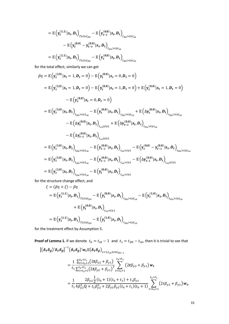$$
= \mathbb{E}\left(\mathbf{y}_{t}^{(1,1)}|s_{t}, D_{t}\right)_{T \geq t \geq t_{D0}} - \mathbb{E}\left(\mathbf{y}_{t-i}^{(0,0)}|s_{t}, D_{t}\right)_{t_{D0} > t \geq t_{S0}}
$$

$$
- \mathbb{E}\left(\mathbf{y}_{t}^{(0,0)} - \mathbf{y}_{t-i}^{(0,0)}|s_{t}, D_{t}\right)_{t_{D0} > t \geq t_{S0}}
$$

$$
= \mathbb{E}\left(\mathbf{y}_{t}^{(1,1)}|s_{t}, D_{t}\right)_{T \geq t \geq t_{D0}} - \mathbb{E}\left(\mathbf{y}_{t}^{(0,0)}|s_{t}, D_{t}\right)_{t_{D0} > t \geq t_{S0}}
$$

for the total effect, similarly we can get

$$
\beta \eta = \mathbb{E}\left(\mathbf{y}_{t}^{(1,0)}|s_{t}=1, D_{t}=0\right) - \mathbb{E}\left(\mathbf{y}_{t}^{(0,0)}|s_{t}=0, D_{t}=0\right)
$$
\n
$$
= \mathbb{E}\left(\mathbf{y}_{t}^{(1,0)}|s_{t}=1, D_{t}=0\right) - \mathbb{E}\left(\mathbf{y}_{t}^{(0,0)}|s_{t}=1, D_{t}=0\right) + \mathbb{E}\left(\mathbf{y}_{t}^{(0,0)}|s_{t}=1, D_{t}=0\right)
$$
\n
$$
- \mathbb{E}\left(\mathbf{y}_{t}^{(0,0)}|s_{t}=0, D_{t}=0\right)
$$
\n
$$
= \mathbb{E}\left(\mathbf{y}_{t}^{(1,0)}|s_{t}, D_{t}\right)_{t_{D_{0}} > t \ge t_{S_{0}}} - \mathbb{E}\left(\mathbf{y}_{t}^{(0,0)}|s_{t}, D_{t}\right)_{t_{D_{0}} > t \ge t_{S_{0}}} + \mathbb{E}\left(\Delta \mathbf{y}_{t}^{(0,0)}|s_{t}, D_{t}\right)_{t_{D_{0}} > t \ge t_{S_{0}}}
$$
\n
$$
- \mathbb{E}\left(\Delta \mathbf{y}_{t}^{(0,0)}|s_{t}, D_{t}\right)_{t_{S_{0}} \ge t \ge 1} + \mathbb{E}\left(\Delta \mathbf{y}_{t-t}^{(0,0)}|s_{t}, D_{t}\right)_{t_{D_{0}} > t \ge t_{S_{0}}}
$$
\n
$$
- \mathbb{E}\left(\Delta \mathbf{y}_{t-t}^{(0,0)}|s_{t}, D_{t}\right)_{t_{S_{0}} \ge t \ge 1}
$$
\n
$$
= \mathbb{E}\left(\mathbf{y}_{t}^{(1,0)}|s_{t}, D_{t}\right)_{t_{D_{0}} > t \ge t_{S_{0}}} - \mathbb{E}\left(\mathbf{y}_{t-t}^{(0,0)}|s_{t}, D_{t}\right)_{t_{S_{0}} > t \ge 1} - \mathbb{E}\left(\mathbf{y}_{t}^{(0,0)}|s_{t}, D_{t}\right)_{t_{S_{0}} > t \ge t_{S_{0}}}
$$
\n
$$
= \mathbb{E}\left(\mathbf{y}_{
$$

for the structure change effect, and

$$
\xi = (\beta \eta + \xi) - \beta \eta
$$
\n
$$
= \mathbb{E} \left( y_t^{(1,1)} | s_t, D_t \right)_{T \ge t \ge t_{D0}} - \mathbb{E} \left( y_t^{(0,0)} | s_t, D_t \right)_{t_{D0} > t \ge t_{S0}} - \mathbb{E} \left( y_t^{(1,0)} | s_t, D_t \right)_{t_{D0} > t \ge t_{S0}}
$$
\n
$$
+ \mathbb{E} \left( y_t^{(0,0)} | s_t, D_t \right)_{t_{S0} > t \ge 1}
$$
\n
$$
= \mathbb{E} \left( y_t^{(1,1)} | s_t, D_t \right)_{T \ge t \ge t_{D0}} - \mathbb{E} \left( y_t^{(1,0)} | s_t, D_t \right)_{t_{D0} > t \ge t_{S0}}
$$

for the treatment effect by Assumption 5.

**Proof of Lemma 1.** If we denote  $t_0 = t_{s0} - 1$  and  $t_1 = t_{D0} - t_{s0}$ , then it is trivial to see that

$$
\begin{split} \left[ (\delta_{T}\delta_{\beta})'\delta_{T}\delta_{\beta} \right]^{-1} & \left( \delta_{T}\delta_{\beta} \right)' w_{t} \mathbb{E} \left( \delta_{T}\delta_{\beta} \right)_{s=1,t_{s0} \leq t \leq t_{D0-1}} \\ &= \frac{1}{t_{1}} \frac{\sum_{t=t_{0}+1}^{t_{0}+t_{1}} \left( 2t\beta_{y2} + \beta_{y1} \right)}{\sum_{t=t_{0}+1}^{t_{0}+t_{1}} \left( 2t\beta_{y2} + \beta_{y1} \right)^{2}} \sum_{t=t_{0}+1}^{t_{0}+t_{1}} \left( 2t\beta_{y2} + \beta_{y1} \right) w_{t} \\ &= \frac{1}{t_{1}} \frac{2\beta_{y2} \frac{1}{2} (t_{0}+1) (t_{0}+t_{1}) + t_{1} \beta_{y1}}{4\beta_{y2}^{2} \mathbb{Q} + t_{1} \beta_{y2}^{2} + 2\beta_{y1} \beta_{y2} (t_{0}+t_{1}) (t_{0}+1)} \sum_{t=t_{0}+1}^{t_{0}+t_{1}} \left( 2t\beta_{y2} + \beta_{y1} \right) w_{t}, \end{split}
$$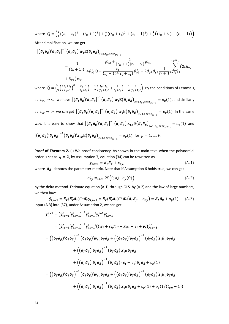where 
$$
\mathbb{Q} = \left(\frac{1}{3}((t_0 + t_1)^3 - (t_0 + 1)^3) + \frac{1}{2}((t_0 + t_1)^2 + (t_0 + 1)^2) + \frac{1}{6}((t_0 + t_1) - (t_0 + 1))\right).
$$

After simplification, we can get

$$
\begin{split} \left[ (\delta_T \delta_\beta)' \delta_T \delta_\beta \right]^{-1} & (\delta_T \delta_\beta)' w_t \mathbb{E} \left( \delta_T \delta_\beta \right)_{s=1, t_{s0} \le t \le t_{D_0 - 1}} \\ &= \frac{1}{(t_0 + 1)t_1} \frac{\beta_{y2} + \frac{t_1}{(t_0 + 1)(t_0 + t_1)} \beta_{y1}}{(t_0 + 1)^2 (t_0 + t_1)} \sum_{t=1}^{t_0 + t_1} \left( 2t \beta_{y2} + \beta_{y1} \right) w_t \end{split}
$$

where  $\widetilde{\mathbb{Q}} = \left(\frac{1}{3} \left( \left(\frac{t_0 + t_1}{t_0 + 1}\right)^2 - \frac{t_0 + 1}{t_0 + t_1} \right) \right)$  $\left(\frac{t_0+1}{t_0+t_1}\right) + \frac{1}{2} \left(\frac{t_0+t_1}{(t_0+1)}\right)$  $\frac{t_0+t_1}{(t_0+1)^2} + \frac{1}{t_0+1}$  $\frac{1}{t_0+t_1}$  +  $\frac{1}{6}$ 6 1  $\frac{1}{(t_0+1)^2}$ . By the conditions of Lemma 1,

as  $t_{D0} \to \infty$  we have  $[(\delta_T \delta_\beta)' \delta_T \delta_\beta]^{-1} (\delta_T \delta_\beta)' w_t \mathbb{E} (\delta_T \delta_\beta)_{s=1,t_{S0} \le t \le t_{D0-1}} = o_p(1)$ , and similarly as  $t_{s0} \to \infty$  we can get  $[(\delta_T \delta_\beta)' \delta_T \delta_\beta]^{-1} (\delta_T \delta_\beta)' w_t \mathbb{E} (\delta_T \delta_\beta)_{s=1,1 \le t \le t_{s0-1}} = o_p(1)$ . In the same

way, it is easy to show that  $[(\delta_T\delta_\beta)' \delta_T\delta_\beta]^{-1} (\delta_T\delta_\beta)' x_{t,p} \mathbb{E}(\delta_T\delta_\beta)_{s=1,t_{s0}\le t\le t_{D0-1}} = o_p(1)$  and

$$
\left[ (\delta_T \delta_\beta)' \delta_T \delta_\beta \right]^{-1} (\delta_T \delta_\beta)' x_{t,p} \mathbb{E} (\delta_T \delta_\beta)_{s=1, 1 \le t \le t_{s0-1}} = o_p(1) \text{ for } p = 1, \dots, P.
$$

**Proof of Theorem 2.** (i) We proof consistency. As shown in the main text, when the polynomial order is set as  $q = 2$ , by Assumption 7, equation (34) can be rewritten as

$$
\mathbf{y}'_{t,s=1} = \delta_T \delta_\beta + \varepsilon'_{t,y},\tag{A.1}
$$

where  $\delta_{\beta}$  denotes the parameter matrix. Note that if Assumption 6 holds true, we can get

$$
\varepsilon'_{t,y} =_{i.i.d.} \mathcal{N}\left(0, \sigma_{\varepsilon}^2 \cdot \varepsilon'_y(0)\right) \tag{A.2}
$$

by the delta method. Estimate equation (A.1) through OLS, by (A.2) and the law of large numbers, we then have

 $\hat{y}'_{t,s=1} = \delta_T (\delta'_T \delta_T)^{-1} \delta'_T y'_{t,s=1} = \delta_T (\delta'_T \delta_T)^{-1} \delta'_T (\delta_T \delta_\beta + \varepsilon'_{t,y}) = \delta_T \delta_\beta + o_p(1).$  (A.3) Input (A.3) into (37), under Assumption 2, we can get

$$
\hat{y}_{t}^{s=1} = (\hat{y}_{t,s=1}' \hat{y}_{t,s=1}')^{-1} \hat{y}_{t,s=1}' y_{t}^{s=1} \hat{y}_{t,s=1}'\n\n= (\hat{y}_{t,s=1}' \hat{y}_{t,s=1}')^{-1} \hat{y}_{t,s=1}'((w_{t} + s_{t}\beta)\eta + x_{t}\alpha + \epsilon_{t} + v_{t})\hat{y}_{t,s=1}'\n\n= ((\delta_{T}\delta_{\beta})'\delta_{T}\delta_{\beta})^{-1} (\delta_{T}\delta_{\beta})'w_{t}\eta\delta_{T}\delta_{\beta} + ((\delta_{T}\delta_{\beta})'\delta_{T}\delta_{\beta})^{-1} (\delta_{T}\delta_{\beta})'s_{t}\beta\eta\delta_{T}\delta_{\beta}\n\n+ ((\delta_{T}\delta_{\beta})'\delta_{T}\delta_{\beta})^{-1} (\delta_{T}\delta_{\beta})'x_{t}\alpha\delta_{T}\delta_{\beta}\n\n+ ((\delta_{T}\delta_{\beta})'\delta_{T}\delta_{\beta})^{-1} (\delta_{T}\delta_{\beta})'(\epsilon_{t} + v_{t})\delta_{T}\delta_{\beta} + o_{p}(1)\n\n= ((\delta_{T}\delta_{\beta})'\delta_{T}\delta_{\beta})^{-1} (\delta_{T}\delta_{\beta})'w_{t}\eta\delta_{T}\delta_{\beta} + ((\delta_{T}\delta_{\beta})'\delta_{T}\delta_{\beta})^{-1} (\delta_{T}\delta_{\beta})'s_{t}\beta\eta\delta_{T}\delta_{\beta}\n\n+ ((\delta_{T}\delta_{\beta})'\delta_{T}\delta_{\beta})^{-1} (\delta_{T}\delta_{\beta})'x_{t}\alpha\delta_{T}\delta_{\beta} + o_{p}(1) + o_{p}(1/(t_{D0} - 1))\n\n(1)
$$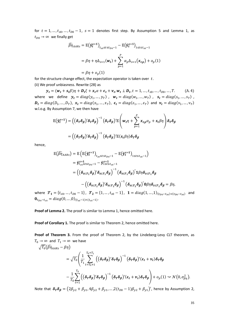for  $t = 1, ..., t_{s0}, ..., t_{D0} - 1$ ,  $s = 1$  denotes first step. By Assumption 5 and Lemma 1, as  $t_{D0} \rightarrow \infty$  we finally get

$$
\widehat{\beta\eta}_{AARS} = \mathbb{E}(\hat{\mathbf{y}}_t^{s=1})_{t_{s0} \le t \le t_{D0}-1} - \mathbb{E}(\hat{\mathbf{y}}_t^{s=1})_{1 \le t \le t_{s0}-1}
$$

$$
= \beta\eta + \eta \Delta_{s=1}(\mathbf{w}_t) + \sum_{p=1}^P \alpha_p \Delta_{s=1}(x_{t,p}) + o_p(1)
$$

$$
= \beta\eta + o_p(1)
$$

for the structure change effect, the expectation operator is taken over  $t$ . (ii) We proof unbiasness. Rewrite (28) as

 $y_t = (w_t + s_t \beta) \eta + D_t \xi + x_t \alpha + \epsilon_t + v_t, w_t \perp D_t, t = 1, ..., t_{s0}, ..., t_{D0}, ..., T.$  (A.4) where we define  $y_t = diag(y_1, ..., y_T)$ ,  $w_t = diag(w_1, ..., w_T)$ ,  $s_t = diag(s_1, ..., s_T)$ ,  $\bm{D_t} = diag(D_1, ..., D_T)$ ,  $\bm{x_t} = diag(x_1, ..., x_T)$ ,  $\bm{\epsilon_t} = diag(\epsilon_1, ..., \epsilon_T)$  and  $\bm{\nu_t} = diag(\nu_1, ..., \nu_T)$ w.l.o.g. By Assumption 7, we then have

$$
\mathbb{E}(\hat{y}_t^{s=1}) = ((\delta_T \delta_\beta)' \delta_T \delta_\beta)^{-1} (\delta_T \delta_\beta)' \mathbb{E} \left( w_t \eta + \sum_{p=1}^P x_{t,p} \alpha_p + s_t \beta \eta \right) \delta_T \delta_\beta
$$
  
= 
$$
((\delta_T \delta_\beta)' \delta_T \delta_\beta)^{-1} (\delta_T \delta_\beta)' \mathbb{E} (s_t \beta \eta) \delta_T \delta_\beta
$$

hence,

$$
\mathbb{E}(\widehat{\beta}\widehat{\eta}_{AARS}) = \mathbb{E}\left(\mathbb{E}(\widehat{\mathbf{y}}_{t}^{s=1})_{t_{s0}\leq t\leq t_{D0}-1} - \mathbb{E}(\widehat{\mathbf{y}}_{t}^{s=1})_{1\leq t\leq t_{s0}-1}\right)
$$
  
\n
$$
= \widehat{\mathbf{y}}_{t_{s0}\leq t\leq t_{D0}-1}^{s=1} - \widehat{\mathbf{y}}_{1\leq t\leq t_{s0}-1}^{s=1}
$$
  
\n
$$
= \left((\delta_{t\in\mathcal{T}_{1}}\delta_{\beta})'\delta_{t\in\mathcal{T}_{1}}\delta_{\beta}\right)^{-1}(\delta_{t\in\mathcal{T}_{1}}\delta_{\beta})'\mathbf{1}\beta\eta\delta_{t\in\mathcal{T}_{1}}\delta_{\beta}
$$
  
\n
$$
- \left((\delta_{t\in\mathcal{T}_{2}}\delta_{\beta})'\delta_{t\in\mathcal{T}_{2}}\delta_{\beta}\right)^{-1}(\delta_{t\in\mathcal{T}_{2}}\delta_{\beta})'\mathbf{0}\beta\eta\delta_{t\in\mathcal{T}_{2}}\delta_{\beta} = \beta\eta,
$$
  
\nwhere  $\mathcal{T}_{1} = \{t_{s0}, ..., t_{D0} - 1\}$ ,  $\mathcal{T}_{2} = \{1, ..., t_{s0} - 1\}$ ,  $1 = diag(1, ..., 1)_{(t_{D0}-t_{s0})\times(t_{D0}-t_{s0})}$  and  
\n $\mathbf{0}_{t_{D0}-t_{s0}} = diag(0, ..., 0)_{(t_{s0}-1)\times(t_{s0}-1)}$ .

**Proof of Lemma 2.** The proof is similar to Lemma 1, hence omitted here.

**Proof of Corollary 1.** The proof is similar to Theorem 2, hence omitted here.

Proof of Theorem 3. From the proof of Theorem 2, by the Lindeberg-Levy CLT theorem, as  $T_0 \rightarrow \infty$  and  $T_1 \rightarrow \infty$  we have

$$
\sqrt{T_0}(\widehat{\beta\eta}_{AARS} - \beta\eta)
$$
\n
$$
= \sqrt{T_0} \left( \frac{1}{T_1} \sum_{t=T_0+1}^{T_0+T_1} \left( (\delta_T \delta_\beta)' \delta_T \delta_\beta \right)^{-1} (\delta_T \delta_\beta)' (\epsilon_t + \nu_t) \delta_T \delta_\beta \right)
$$
\n
$$
- \frac{1}{T_0} \sum_{t=1}^{T_0} \left( (\delta_T \delta_\beta)' \delta_T \delta_\beta \right)^{-1} (\delta_T \delta_\beta)' (\epsilon_t + \nu_t) \delta_T \delta_\beta \right) + o_p(1) \sim \mathcal{N}(0, \sigma_{\beta\eta}^2).
$$

Note that  $\delta_T \delta_\beta = (2\beta_{v2} + \beta_{v1}, 4\beta_{v2} + \beta_{v1}, ..., 2(t_{D0} - 1)\beta_{v2} + \beta_{v1})'$ , hence by Assumption 2,